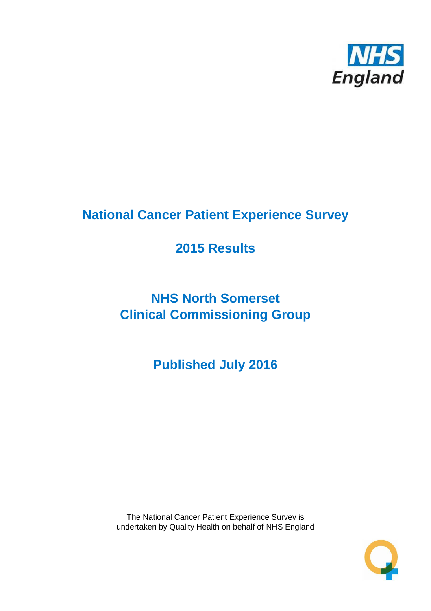

# **National Cancer Patient Experience Survey**

# **2015 Results**

# **NHS North Somerset Clinical Commissioning Group**

**Published July 2016**

The National Cancer Patient Experience Survey is undertaken by Quality Health on behalf of NHS England

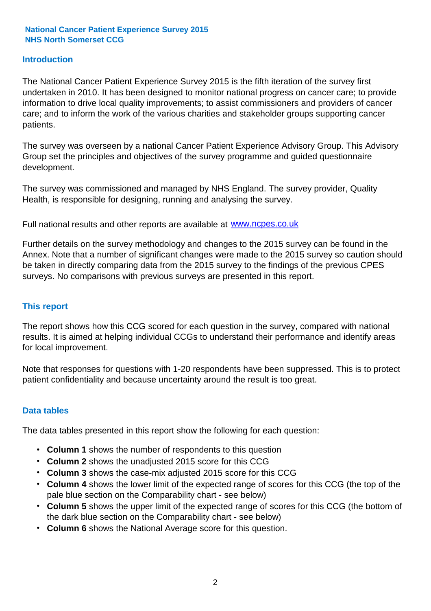#### **Introduction**

The National Cancer Patient Experience Survey 2015 is the fifth iteration of the survey first undertaken in 2010. It has been designed to monitor national progress on cancer care; to provide information to drive local quality improvements; to assist commissioners and providers of cancer care; and to inform the work of the various charities and stakeholder groups supporting cancer patients.

The survey was overseen by a national Cancer Patient Experience Advisory Group. This Advisory Group set the principles and objectives of the survey programme and guided questionnaire development.

The survey was commissioned and managed by NHS England. The survey provider, Quality Health, is responsible for designing, running and analysing the survey.

Full national results and other reports are available at www.ncpes.co.uk

Further details on the survey methodology and changes to the 2015 survey can be found in the Annex. Note that a number of significant changes were made to the 2015 survey so caution should be taken in directly comparing data from the 2015 survey to the findings of the previous CPES surveys. No comparisons with previous surveys are presented in this report.

#### **This report**

The report shows how this CCG scored for each question in the survey, compared with national results. It is aimed at helping individual CCGs to understand their performance and identify areas for local improvement.

Note that responses for questions with 1-20 respondents have been suppressed. This is to protect patient confidentiality and because uncertainty around the result is too great.

#### **Data tables**

The data tables presented in this report show the following for each question:

- **Column 1** shows the number of respondents to this question
- **Column 2** shows the unadjusted 2015 score for this CCG
- **Column 3** shows the case-mix adjusted 2015 score for this CCG
- **Column 4** shows the lower limit of the expected range of scores for this CCG (the top of the pale blue section on the Comparability chart - see below)
- **Column 5** shows the upper limit of the expected range of scores for this CCG (the bottom of the dark blue section on the Comparability chart - see below)
- **Column 6** shows the National Average score for this question.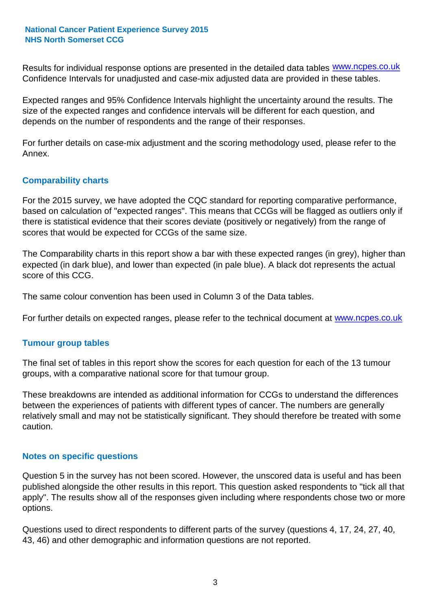Results for individual response options are presented in the detailed data tables **WWW.ncpes.co.uk** Confidence Intervals for unadjusted and case-mix adjusted data are provided in these tables.

Expected ranges and 95% Confidence Intervals highlight the uncertainty around the results. The size of the expected ranges and confidence intervals will be different for each question, and depends on the number of respondents and the range of their responses.

For further details on case-mix adjustment and the scoring methodology used, please refer to the Annex.

#### **Comparability charts**

For the 2015 survey, we have adopted the CQC standard for reporting comparative performance, based on calculation of "expected ranges". This means that CCGs will be flagged as outliers only if there is statistical evidence that their scores deviate (positively or negatively) from the range of scores that would be expected for CCGs of the same size.

The Comparability charts in this report show a bar with these expected ranges (in grey), higher than expected (in dark blue), and lower than expected (in pale blue). A black dot represents the actual score of this CCG.

The same colour convention has been used in Column 3 of the Data tables.

For further details on expected ranges, please refer to the technical document at **www.ncpes.co.uk** 

#### **Tumour group tables**

The final set of tables in this report show the scores for each question for each of the 13 tumour groups, with a comparative national score for that tumour group.

These breakdowns are intended as additional information for CCGs to understand the differences between the experiences of patients with different types of cancer. The numbers are generally relatively small and may not be statistically significant. They should therefore be treated with some caution.

#### **Notes on specific questions**

Question 5 in the survey has not been scored. However, the unscored data is useful and has been published alongside the other results in this report. This question asked respondents to "tick all that apply". The results show all of the responses given including where respondents chose two or more options.

Questions used to direct respondents to different parts of the survey (questions 4, 17, 24, 27, 40, 43, 46) and other demographic and information questions are not reported.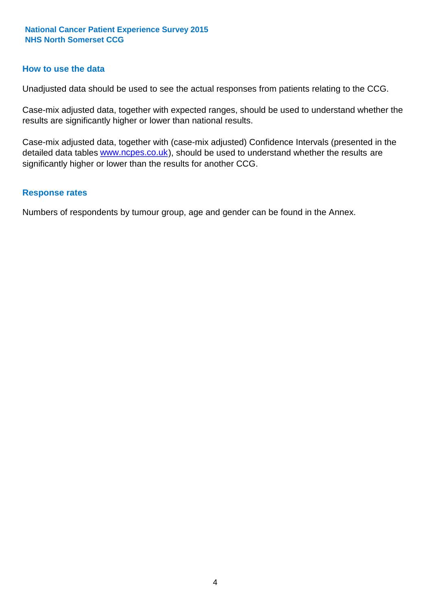#### **How to use the data**

Unadjusted data should be used to see the actual responses from patients relating to the CCG.

Case-mix adjusted data, together with expected ranges, should be used to understand whether the results are significantly higher or lower than national results.

Case-mix adjusted data, together with (case-mix adjusted) Confidence Intervals (presented in the detailed data tables **www.ncpes.co.uk**), should be used to understand whether the results are significantly higher or lower than the results for another CCG.

#### **Response rates**

Numbers of respondents by tumour group, age and gender can be found in the Annex.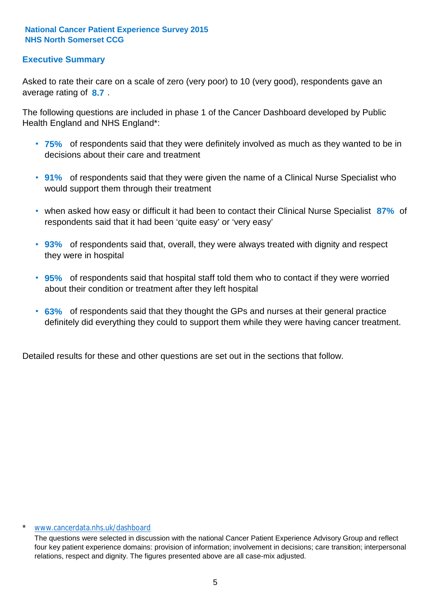#### **Executive Summary**

average rating of 8.7. Asked to rate their care on a scale of zero (very poor) to 10 (very good), respondents gave an

The following questions are included in phase 1 of the Cancer Dashboard developed by Public Health England and NHS England\*:

- **75%** of respondents said that they were definitely involved as much as they wanted to be in decisions about their care and treatment
- **91%** of respondents said that they were given the name of a Clinical Nurse Specialist who would support them through their treatment
- when asked how easy or difficult it had been to contact their Clinical Nurse Specialist 87% of respondents said that it had been 'quite easy' or 'very easy'
- **93%** of respondents said that, overall, they were always treated with dignity and respect they were in hospital
- **95%** of respondents said that hospital staff told them who to contact if they were worried about their condition or treatment after they left hospital
- **63%** of respondents said that they thought the GPs and nurses at their general practice definitely did everything they could to support them while they were having cancer treatment.

Detailed results for these and other questions are set out in the sections that follow.

#### \* www.cancerdata.nhs.uk/dashboard

The questions were selected in discussion with the national Cancer Patient Experience Advisory Group and reflect four key patient experience domains: provision of information; involvement in decisions; care transition; interpersonal relations, respect and dignity. The figures presented above are all case-mix adjusted.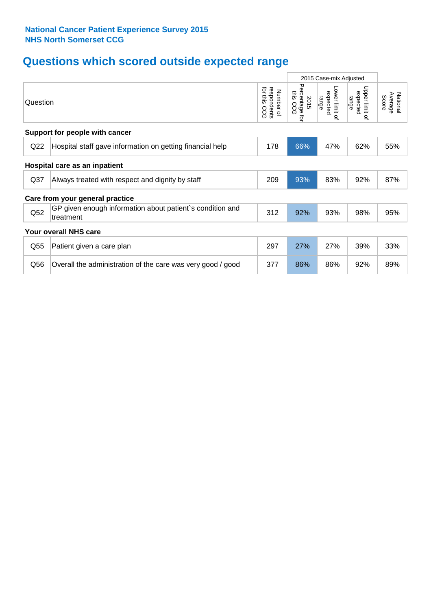# **Questions which scored outside expected range**

|                 |                                                                        |                                             | 2015 Case-mix Adjusted              |                                     |                                       |                              |
|-----------------|------------------------------------------------------------------------|---------------------------------------------|-------------------------------------|-------------------------------------|---------------------------------------|------------------------------|
| Question        |                                                                        | for this<br>respondents<br>Number of<br>ccg | Percentage<br>this CCG<br>2015<br>ţ | Lower limit of<br>expected<br>range | Upper limit<br>expected<br>range<br>٩ | National<br>Average<br>Score |
|                 | Support for people with cancer                                         |                                             |                                     |                                     |                                       |                              |
| Q22             | Hospital staff gave information on getting financial help              | 178                                         | 66%                                 | 47%                                 | 62%                                   | 55%                          |
|                 | Hospital care as an inpatient                                          |                                             |                                     |                                     |                                       |                              |
| Q <sub>37</sub> | Always treated with respect and dignity by staff                       | 209                                         | 93%                                 | 83%                                 | 92%                                   | 87%                          |
|                 | Care from your general practice                                        |                                             |                                     |                                     |                                       |                              |
| Q <sub>52</sub> | GP given enough information about patient's condition and<br>treatment | 312                                         | 92%                                 | 93%                                 | 98%                                   | 95%                          |
|                 | Your overall NHS care                                                  |                                             |                                     |                                     |                                       |                              |
| Q55             | Patient given a care plan                                              | 297                                         | 27%                                 | 27%                                 | 39%                                   | 33%                          |
| Q56             | Overall the administration of the care was very good / good            | 377                                         | 86%                                 | 86%                                 | 92%                                   | 89%                          |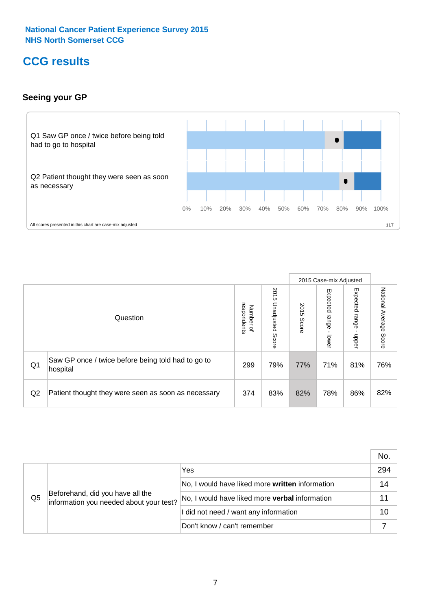# **CCG results**

#### **Seeing your GP**



|    |                                                                |                                              |                             |               | 2015 Case-mix Adjusted     |                            |                           |
|----|----------------------------------------------------------------|----------------------------------------------|-----------------------------|---------------|----------------------------|----------------------------|---------------------------|
|    | Question                                                       | respondents<br>Number<br>$\overline{\sigma}$ | 2015<br>Unadjusted<br>Score | 2015<br>Score | Expected<br>range<br>lower | Expected<br>range<br>nbber | National Average<br>Score |
| Q1 | Saw GP once / twice before being told had to go to<br>hospital | 299                                          | 79%                         | 77%           | 71%                        | 81%                        | 76%                       |
| Q2 | Patient thought they were seen as soon as necessary            | 374                                          | 83%                         | 82%           | 78%                        | 86%                        | 82%                       |

|    |                                                                             |                                                 | No. |
|----|-----------------------------------------------------------------------------|-------------------------------------------------|-----|
|    | Beforehand, did you have all the<br>information you needed about your test? | Yes                                             | 294 |
|    |                                                                             | No, I would have liked more written information | 14  |
| Q5 |                                                                             | No, I would have liked more verbal information  |     |
|    |                                                                             | I did not need / want any information           | 10  |
|    |                                                                             | Don't know / can't remember                     |     |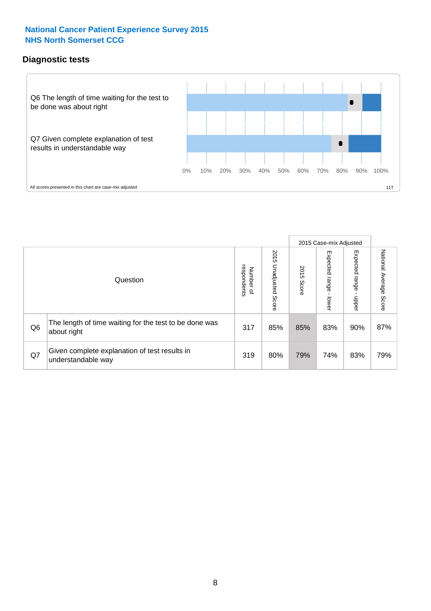#### **Diagnostic tests**



|                |                                                                       |                          |                             |               | 2015 Case-mix Adjusted  |                         |                           |
|----------------|-----------------------------------------------------------------------|--------------------------|-----------------------------|---------------|-------------------------|-------------------------|---------------------------|
|                | Question                                                              | Number of<br>respondents | 2015<br>Unadjusted<br>Score | 2015<br>Score | Expected range<br>lower | Expected range<br>nbber | National Average<br>Score |
| Q <sub>6</sub> | The length of time waiting for the test to be done was<br>about right | 317                      | 85%                         | 85%           | 83%                     | 90%                     | 87%                       |
| Q7             | Given complete explanation of test results in<br>understandable way   | 319                      | 80%                         | 79%           | 74%                     | 83%                     | 79%                       |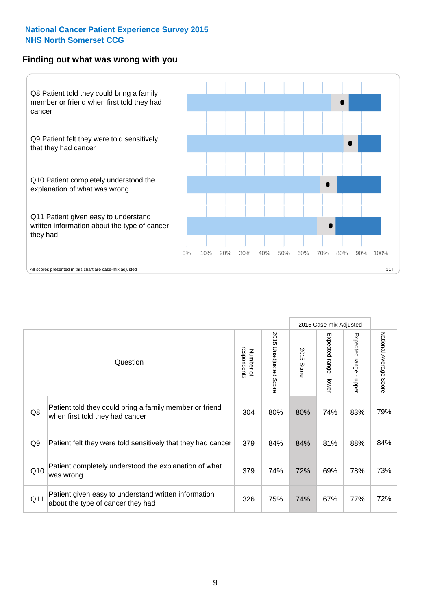#### **Finding out what was wrong with you**



2015 Case-mix Adjusted 2015 U 2015 Unadjusted Score  $\vec{a}$   $\rightarrow$  $\overline{6}$ respondents 2015 Score Number of Question Patient told they could bring a family member or friend

|                | Question                                                                                   | respondents<br>Number of | 2015 Unadjusted Score | 2015<br>Score | Expected range<br>lower | Expected range<br>nbber | National Average<br>Score |
|----------------|--------------------------------------------------------------------------------------------|--------------------------|-----------------------|---------------|-------------------------|-------------------------|---------------------------|
| Q8             | Patient told they could bring a family member or friend<br>when first told they had cancer | 304                      | 80%                   | 80%           | 74%                     | 83%                     | 79%                       |
| Q <sub>9</sub> | Patient felt they were told sensitively that they had cancer                               | 379                      | 84%                   | 84%           | 81%                     | 88%                     | 84%                       |
| Q10            | Patient completely understood the explanation of what<br>was wrong                         | 379                      | 74%                   | 72%           | 69%                     | 78%                     | 73%                       |
| Q11            | Patient given easy to understand written information<br>about the type of cancer they had  | 326                      | 75%                   | 74%           | 67%                     | 77%                     | 72%                       |

Nationa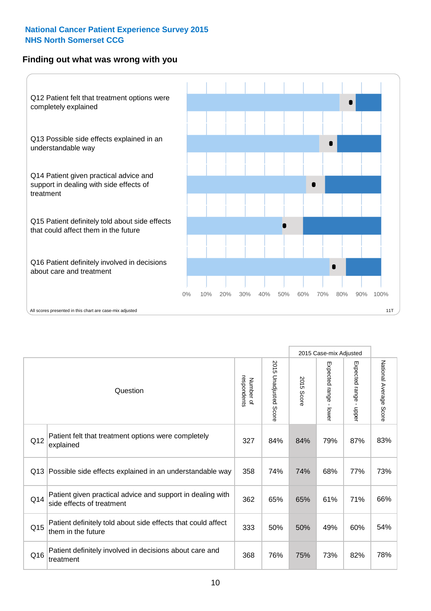#### **Finding out what was wrong with you**



|          |                                                                                         |                          |                          |               | 2015 Case-mix Adjusted                  |                           |                        |
|----------|-----------------------------------------------------------------------------------------|--------------------------|--------------------------|---------------|-----------------------------------------|---------------------------|------------------------|
| Question |                                                                                         | Number of<br>respondents | 2015<br>Unadjusted Score | 2015<br>Score | Expected range<br>$\mathbf{I}$<br>lower | Expected range -<br>nbber | National Average Score |
| Q12      | Patient felt that treatment options were completely<br>explained                        | 327                      | 84%                      | 84%           | 79%                                     | 87%                       | 83%                    |
| Q13      | Possible side effects explained in an understandable way                                | 358                      | 74%                      | 74%           | 68%                                     | 77%                       | 73%                    |
| Q14      | Patient given practical advice and support in dealing with<br>side effects of treatment | 362                      | 65%                      | 65%           | 61%                                     | 71%                       | 66%                    |
| Q15      | Patient definitely told about side effects that could affect<br>them in the future      | 333                      | 50%                      | 50%           | 49%                                     | 60%                       | 54%                    |
| Q16      | Patient definitely involved in decisions about care and<br>treatment                    | 368                      | 76%                      | 75%           | 73%                                     | 82%                       | 78%                    |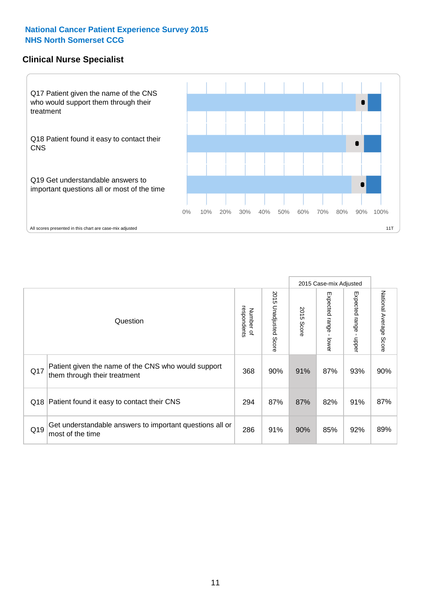#### **Clinical Nurse Specialist**



|     |                                                                                     |                          |                       | 2015 Case-mix Adjusted |                         |                         |                        |
|-----|-------------------------------------------------------------------------------------|--------------------------|-----------------------|------------------------|-------------------------|-------------------------|------------------------|
|     | Question                                                                            | respondents<br>Number of | 2015 Unadjusted Score | 2015<br>Score          | Expected range<br>lower | Expected range<br>nbber | National Average Score |
| Q17 | Patient given the name of the CNS who would support<br>them through their treatment | 368                      | 90%                   | 91%                    | 87%                     | 93%                     | 90%                    |
| Q18 | Patient found it easy to contact their CNS                                          | 294                      | 87%                   | 87%                    | 82%                     | 91%                     | 87%                    |
| Q19 | Get understandable answers to important questions all or<br>most of the time        | 286                      | 91%                   | 90%                    | 85%                     | 92%                     | 89%                    |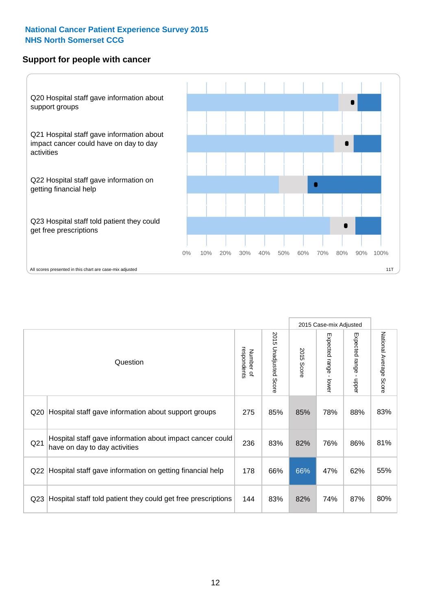#### **Support for people with cancer**



|                 |                                                                                            |                          |                                 |               | 2015 Case-mix Adjusted                    |                        |                        |
|-----------------|--------------------------------------------------------------------------------------------|--------------------------|---------------------------------|---------------|-------------------------------------------|------------------------|------------------------|
|                 | Question                                                                                   | respondents<br>Number of | 2015<br><b>Unadjusted Score</b> | 2015<br>Score | Expected range<br>$\blacksquare$<br>lower | Expected range - upper | National Average Score |
| Q <sub>20</sub> | Hospital staff gave information about support groups                                       | 275                      | 85%                             | 85%           | 78%                                       | 88%                    | 83%                    |
| Q <sub>21</sub> | Hospital staff gave information about impact cancer could<br>have on day to day activities | 236                      | 83%                             | 82%           | 76%                                       | 86%                    | 81%                    |
| Q <sub>22</sub> | Hospital staff gave information on getting financial help                                  | 178                      | 66%                             | 66%           | 47%                                       | 62%                    | 55%                    |
| Q <sub>23</sub> | Hospital staff told patient they could get free prescriptions                              | 144                      | 83%                             | 82%           | 74%                                       | 87%                    | 80%                    |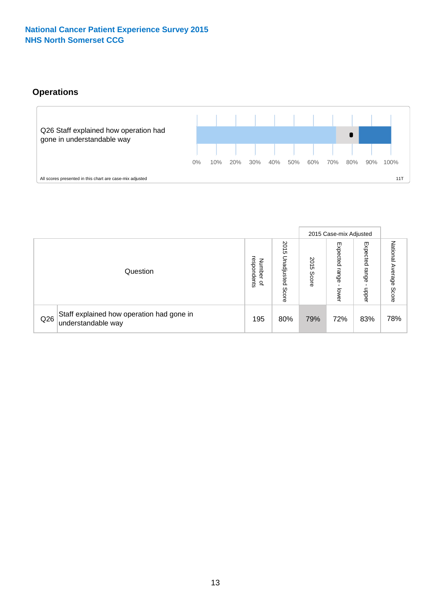### **Operations**



|     |                                                                 |                                             |                             |                   | 2015 Case-mix Adjusted     |                            |                              |
|-----|-----------------------------------------------------------------|---------------------------------------------|-----------------------------|-------------------|----------------------------|----------------------------|------------------------------|
|     | Question                                                        | respondents<br>Numbe<br>≞<br>$\overline{a}$ | 2015<br>Unadjusted<br>Score | 201<br>c<br>Score | Expected<br>range<br>lower | Expected<br>range<br>doper | National<br>Average<br>Score |
| Q26 | Staff explained how operation had gone in<br>understandable way | 195                                         | 80%                         | 79%               | 72%                        | 83%                        | 78%                          |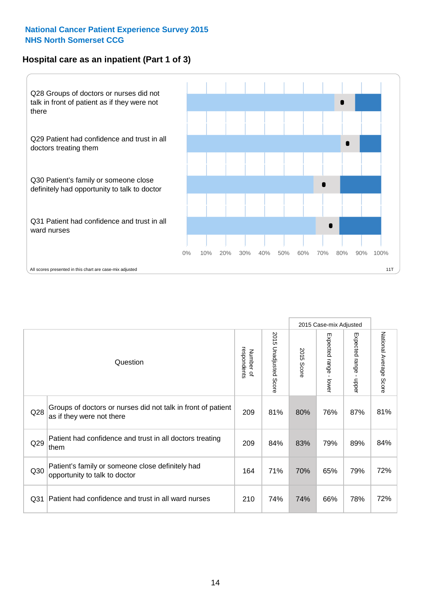#### **Hospital care as an inpatient (Part 1 of 3)**



All scores presented in this chart are case-mix adjusted  $11T$ 

|                 |                                                                                           |                          |                          |                      | 2015 Case-mix Adjusted                    |                                       |                        |
|-----------------|-------------------------------------------------------------------------------------------|--------------------------|--------------------------|----------------------|-------------------------------------------|---------------------------------------|------------------------|
|                 | Question                                                                                  | respondents<br>Number of | 2015<br>Unadjusted Score | 2015<br><b>Score</b> | Expected range<br>$\blacksquare$<br>lower | Expected range<br>$\mathbf{I}$<br>ddo | National Average Score |
| Q28             | Groups of doctors or nurses did not talk in front of patient<br>as if they were not there | 209                      | 81%                      | 80%                  | 76%                                       | 87%                                   | 81%                    |
| Q29             | Patient had confidence and trust in all doctors treating<br>them                          | 209                      | 84%                      | 83%                  | 79%                                       | 89%                                   | 84%                    |
| Q30             | Patient's family or someone close definitely had<br>opportunity to talk to doctor         | 164                      | 71%                      | 70%                  | 65%                                       | 79%                                   | 72%                    |
| Q <sub>31</sub> | Patient had confidence and trust in all ward nurses                                       | 210                      | 74%                      | 74%                  | 66%                                       | 78%                                   | 72%                    |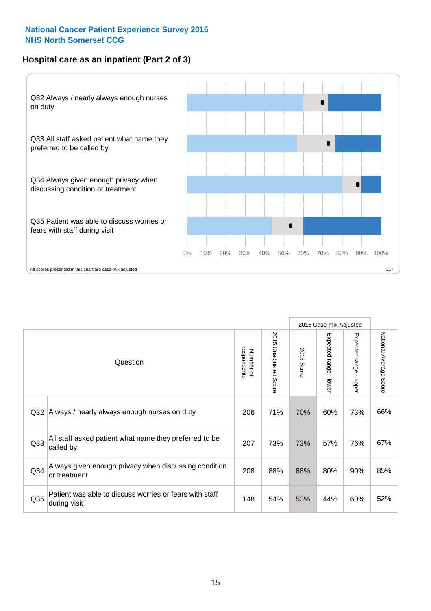#### **Hospital care as an inpatient (Part 2 of 3)**



|     |                                                                         |                          |                             |               | 2015 Case-mix Adjusted |                                           |                           |
|-----|-------------------------------------------------------------------------|--------------------------|-----------------------------|---------------|------------------------|-------------------------------------------|---------------------------|
|     | Question                                                                | respondents<br>Number of | 2015<br>Unadjusted<br>Score | 2015<br>Score | Expected range - lower | Expected range<br>$\blacksquare$<br>nbber | National Average<br>Score |
| Q32 | Always / nearly always enough nurses on duty                            | 206                      | 71%                         | 70%           | 60%                    | 73%                                       | 66%                       |
| Q33 | All staff asked patient what name they preferred to be<br>called by     | 207                      | 73%                         | 73%           | 57%                    | 76%                                       | 67%                       |
| Q34 | Always given enough privacy when discussing condition<br>or treatment   | 208                      | 88%                         | 88%           | 80%                    | 90%                                       | 85%                       |
| Q35 | Patient was able to discuss worries or fears with staff<br>during visit | 148                      | 54%                         | 53%           | 44%                    | 60%                                       | 52%                       |
|     |                                                                         |                          |                             |               |                        |                                           |                           |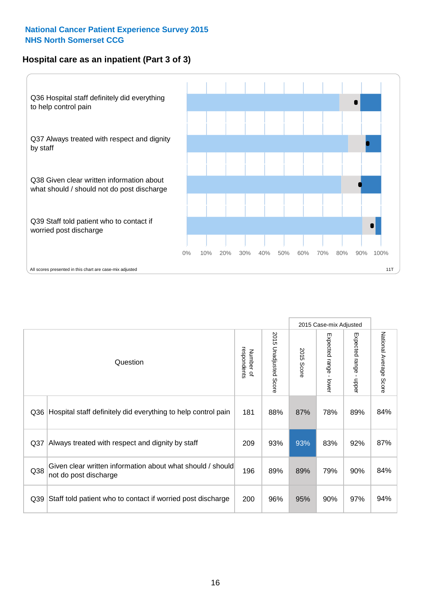#### **Hospital care as an inpatient (Part 3 of 3)**



2015 Case-mix Adjusted National Average Score 2015 Unadjusted Score Expected range - lower Expected range - upper 2015 Unadjusted Score Expected range - upper Expected range - lower Number of<br>respondents respondents 2015 Score 2015 Score Number of Question Q36 Rospital staff definitely did everything to help control pain | 181 | 88% | 87% | 78% | 89% | 84% Q37 Always treated with respect and dignity by staff  $\vert$  209 | 93% | 93% | 83% | 92% | 87% Given clear written information about what should / should Q38 not do post discharge and the state of the color of the contract of the color of the color of the color of the color of the color of the color of the color of the color of the color of the color of the color of the col Q39 Staff told patient who to contact if worried post discharge  $\vert$  200  $\vert$  96%  $\vert$  95%  $\vert$  90%  $\vert$  97%  $\vert$  94%

National Average Score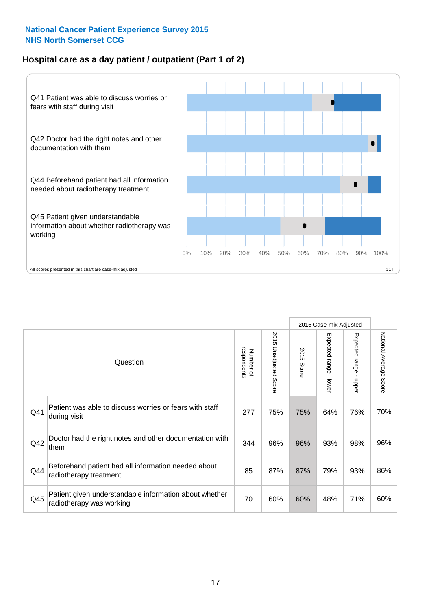#### **Hospital care as a day patient / outpatient (Part 1 of 2)**



|     |                                                                                    |                          |                          |               | 2015 Case-mix Adjusted                  |                                           |                        |
|-----|------------------------------------------------------------------------------------|--------------------------|--------------------------|---------------|-----------------------------------------|-------------------------------------------|------------------------|
|     | Question                                                                           | respondents<br>Number of | 2015<br>Unadjusted Score | 2015<br>Score | Expected range<br>$\mathbf{r}$<br>lower | Expected range<br>$\blacksquare$<br>nbber | National Average Score |
| Q41 | Patient was able to discuss worries or fears with staff<br>during visit            | 277                      | 75%                      | 75%           | 64%                                     | 76%                                       | 70%                    |
| Q42 | Doctor had the right notes and other documentation with<br>them                    | 344                      | 96%                      | 96%           | 93%                                     | 98%                                       | 96%                    |
| Q44 | Beforehand patient had all information needed about<br>radiotherapy treatment      | 85                       | 87%                      | 87%           | 79%                                     | 93%                                       | 86%                    |
| Q45 | Patient given understandable information about whether<br>radiotherapy was working | 70                       | 60%                      | 60%           | 48%                                     | 71%                                       | 60%                    |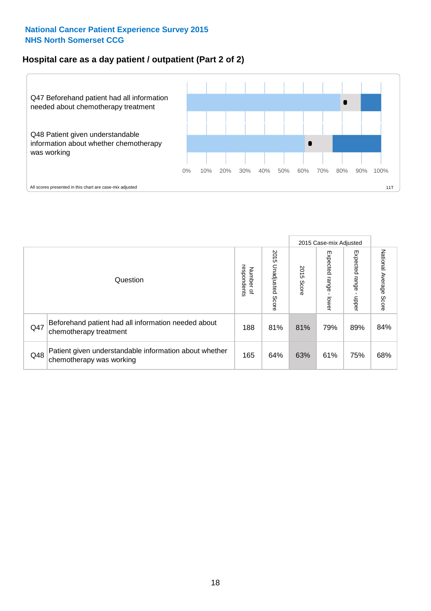#### **Hospital care as a day patient / outpatient (Part 2 of 2)**



|     |                                                                                    |                                       |                             |               |                             | 2015 Case-mix Adjusted  |                           |
|-----|------------------------------------------------------------------------------------|---------------------------------------|-----------------------------|---------------|-----------------------------|-------------------------|---------------------------|
|     | Question                                                                           | respondents<br>Number<br>$\mathbf{Q}$ | 2015<br>Unadjusted<br>Score | 2015<br>Score | Expected<br>Irange<br>lower | Expected range<br>doper | National Average<br>Score |
| Q47 | Beforehand patient had all information needed about<br>chemotherapy treatment      | 188                                   | 81%                         | 81%           | 79%                         | 89%                     | 84%                       |
| Q48 | Patient given understandable information about whether<br>chemotherapy was working | 165                                   | 64%                         | 63%           | 61%                         | 75%                     | 68%                       |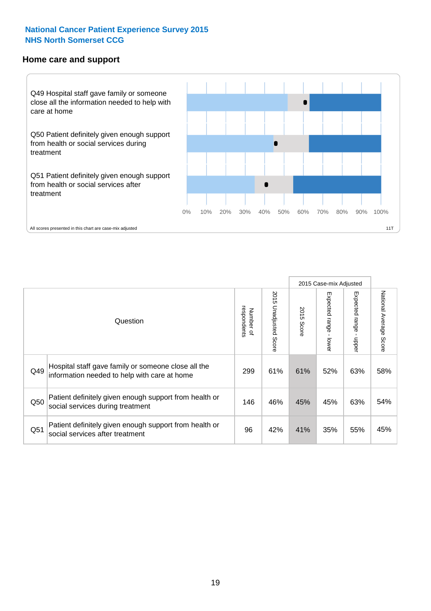#### **Home care and support**



All scores presented in this chart are case-mix adjusted

|                 |                                                                                                     |                          |                       |               | 2015 Case-mix Adjusted  |                         |                           |
|-----------------|-----------------------------------------------------------------------------------------------------|--------------------------|-----------------------|---------------|-------------------------|-------------------------|---------------------------|
|                 | Question                                                                                            | respondents<br>Number of | 2015 Unadjusted Score | 2015<br>Score | Expected range<br>lower | Expected range<br>nbber | National Average<br>Score |
| Q49             | Hospital staff gave family or someone close all the<br>information needed to help with care at home | 299                      | 61%                   | 61%           | 52%                     | 63%                     | 58%                       |
| Q50             | Patient definitely given enough support from health or<br>social services during treatment          | 146                      | 46%                   | 45%           | 45%                     | 63%                     | 54%                       |
| Q <sub>51</sub> | Patient definitely given enough support from health or<br>social services after treatment           | 96                       | 42%                   | 41%           | 35%                     | 55%                     | 45%                       |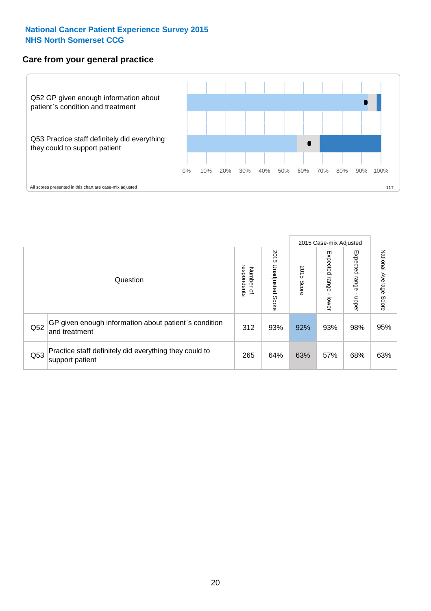#### **Care from your general practice**



|     |                                                                           |                                       |                             |               |                              | 2015 Case-mix Adjusted  |                           |
|-----|---------------------------------------------------------------------------|---------------------------------------|-----------------------------|---------------|------------------------------|-------------------------|---------------------------|
|     | Question                                                                  | respondents<br>Number<br>$\mathbf{Q}$ | 2015<br>Unadjusted<br>Score | 2015<br>Score | Expected<br>I range<br>lower | Expected range<br>doper | National Average<br>Score |
| Q52 | GP given enough information about patient's condition<br>and treatment    | 312                                   | 93%                         | 92%           | 93%                          | 98%                     | 95%                       |
| Q53 | Practice staff definitely did everything they could to<br>support patient | 265                                   | 64%                         | 63%           | 57%                          | 68%                     | 63%                       |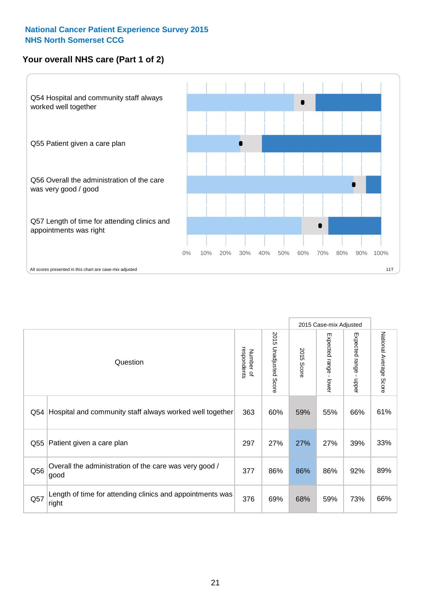#### **Your overall NHS care (Part 1 of 2)**



|     |                                                                    |                          |                                 |               | 2015 Case-mix Adjusted                    |                                           |                        |
|-----|--------------------------------------------------------------------|--------------------------|---------------------------------|---------------|-------------------------------------------|-------------------------------------------|------------------------|
|     | Question                                                           | respondents<br>Number of | 2015<br><b>Unadjusted Score</b> | 2015<br>Score | Expected range<br>$\blacksquare$<br>lower | Expected range<br>$\blacksquare$<br>nbber | National Average Score |
| Q54 | Hospital and community staff always worked well together           | 363                      | 60%                             | 59%           | 55%                                       | 66%                                       | 61%                    |
| Q55 | Patient given a care plan                                          | 297                      | 27%                             | 27%           | 27%                                       | 39%                                       | 33%                    |
| Q56 | Overall the administration of the care was very good /<br>good     | 377                      | 86%                             | 86%           | 86%                                       | 92%                                       | 89%                    |
| Q57 | Length of time for attending clinics and appointments was<br>right | 376                      | 69%                             | 68%           | 59%                                       | 73%                                       | 66%                    |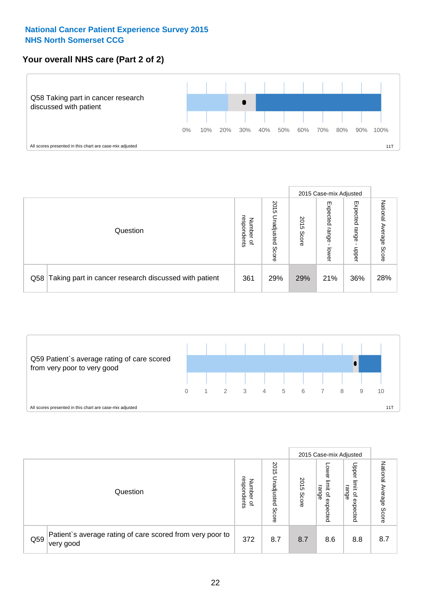#### **Your overall NHS care (Part 2 of 2)**



|     |                                                       |                                              |                             |               |                            | 2015 Case-mix Adjusted     |                           |
|-----|-------------------------------------------------------|----------------------------------------------|-----------------------------|---------------|----------------------------|----------------------------|---------------------------|
|     | Question                                              | respondents<br>Number<br>$\overline{\sigma}$ | 2015<br>Unadjusted<br>Score | 2015<br>Score | Expected<br>range<br>lower | Expected<br>range<br>doper | National<br>Average Score |
| Q58 | Taking part in cancer research discussed with patient | 361                                          | 29%                         | 29%           | 21%                        | 36%                        | 28%                       |



|     |                                                                        |                                   |                             |               |                                                           | 2015 Case-mix Adjusted                                |                              |
|-----|------------------------------------------------------------------------|-----------------------------------|-----------------------------|---------------|-----------------------------------------------------------|-------------------------------------------------------|------------------------------|
|     | Question                                                               | respondents<br>Number<br>$\Omega$ | 2015<br>Inadjusted<br>Score | 2015<br>Score | OWer<br>limit<br>range<br>$\overline{\sigma}$<br>expected | Upper<br>limit<br>range<br>$\overline{a}$<br>expected | National<br>Average<br>Score |
| Q59 | Patient's average rating of care scored from very poor to<br>very good | 372                               | 8.7                         | 8.7           | 8.6                                                       | 8.8                                                   | 8.7                          |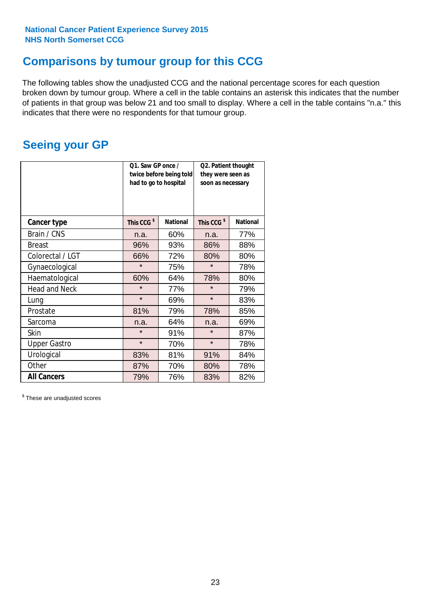### **Comparisons by tumour group for this CCG**

The following tables show the unadjusted CCG and the national percentage scores for each question broken down by tumour group. Where a cell in the table contains an asterisk this indicates that the number of patients in that group was below 21 and too small to display. Where a cell in the table contains "n.a." this indicates that there were no respondents for that tumour group.

### **Seeing your GP**

|                      | Q1. Saw GP once /<br>had to go to hospital | twice before being told | Q2. Patient thought<br>they were seen as<br>soon as necessary |                 |  |
|----------------------|--------------------------------------------|-------------------------|---------------------------------------------------------------|-----------------|--|
| <b>Cancer type</b>   | This CCG <sup>\$</sup>                     | <b>National</b>         | This CCG <sup>\$</sup>                                        | <b>National</b> |  |
| Brain / CNS          | n.a.                                       | 60%                     | n.a.                                                          | 77%             |  |
| <b>Breast</b>        | 96%                                        | 93%                     | 86%                                                           | 88%             |  |
| Colorectal / LGT     | 66%                                        | 72%                     | 80%                                                           | 80%             |  |
| Gynaecological       | $\star$                                    | 75%                     | $\star$                                                       | 78%             |  |
| Haematological       | 60%                                        | 64%                     | 78%                                                           | 80%             |  |
| <b>Head and Neck</b> | $\star$                                    | 77%                     | $\star$                                                       | 79%             |  |
| Lung                 | $\star$                                    | 69%                     | $\star$                                                       | 83%             |  |
| Prostate             | 81%                                        | 79%                     | 78%                                                           | 85%             |  |
| Sarcoma              | n.a.                                       | 64%                     | n.a.                                                          | 69%             |  |
| <b>Skin</b>          | $\star$                                    | 91%                     | $\star$                                                       | 87%             |  |
| <b>Upper Gastro</b>  | $\star$                                    | 70%                     | $\star$                                                       | 78%             |  |
| Urological           | 83%                                        | 81%                     | 91%                                                           | 84%             |  |
| Other                | 87%                                        | 70%                     | 80%                                                           | 78%             |  |
| <b>All Cancers</b>   | 79%                                        | 76%                     | 83%                                                           | 82%             |  |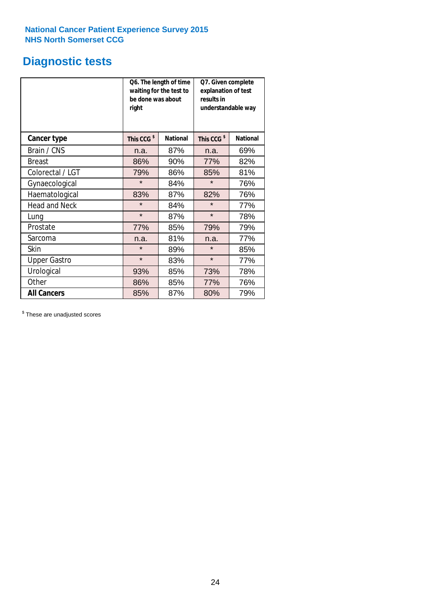# **Diagnostic tests**

|                      | be done was about<br>right | Q6. The length of time<br>waiting for the test to | Q7. Given complete<br>explanation of test<br>results in<br>understandable way |                 |  |  |
|----------------------|----------------------------|---------------------------------------------------|-------------------------------------------------------------------------------|-----------------|--|--|
| <b>Cancer type</b>   | This CCG <sup>\$</sup>     | <b>National</b>                                   | This CCG <sup>\$</sup>                                                        | <b>National</b> |  |  |
| Brain / CNS          | n.a.                       | 87%                                               | n.a.                                                                          | 69%             |  |  |
| <b>Breast</b>        | 86%                        | 90%                                               | 77%                                                                           | 82%             |  |  |
| Colorectal / LGT     | 79%                        | 86%                                               | 85%                                                                           | 81%             |  |  |
| Gynaecological       | $\star$                    | 84%                                               | $\star$                                                                       | 76%             |  |  |
| Haematological       | 83%                        | 87%                                               | 82%                                                                           | 76%             |  |  |
| <b>Head and Neck</b> | $\star$                    | 84%                                               | $\star$                                                                       | 77%             |  |  |
| Lung                 | $\star$                    | 87%                                               | $\star$                                                                       | 78%             |  |  |
| Prostate             | 77%                        | 85%                                               | 79%                                                                           | 79%             |  |  |
| Sarcoma              | n.a.                       | 81%                                               | n.a.                                                                          | 77%             |  |  |
| Skin                 | $\star$                    | 89%                                               | $\star$                                                                       | 85%             |  |  |
| <b>Upper Gastro</b>  | $\star$                    | 83%                                               | $\star$                                                                       | 77%             |  |  |
| Urological           | 93%                        | 85%                                               | 73%                                                                           | 78%             |  |  |
| Other                | 86%                        | 85%                                               | 77%                                                                           | 76%             |  |  |
| <b>All Cancers</b>   | 85%                        | 87%                                               | 80%                                                                           | 79%             |  |  |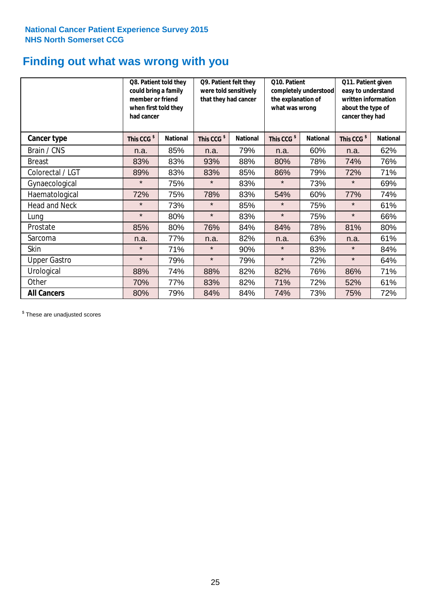### **Finding out what was wrong with you**

|                      | Q8. Patient told they<br>could bring a family<br>member or friend<br>when first told they<br>had cancer |                 | Q9. Patient felt they<br>were told sensitively<br>that they had cancer |                 | Q10. Patient<br>completely understood<br>the explanation of<br>what was wrong |                 | Q11. Patient given<br>easy to understand<br>written information<br>about the type of<br>cancer they had |                 |
|----------------------|---------------------------------------------------------------------------------------------------------|-----------------|------------------------------------------------------------------------|-----------------|-------------------------------------------------------------------------------|-----------------|---------------------------------------------------------------------------------------------------------|-----------------|
| Cancer type          | This CCG <sup>\$</sup>                                                                                  | <b>National</b> | This CCG <sup>\$</sup>                                                 | <b>National</b> | This CCG <sup>\$</sup>                                                        | <b>National</b> | This CCG <sup>\$</sup>                                                                                  | <b>National</b> |
| Brain / CNS          | n.a.                                                                                                    | 85%             | n.a.                                                                   | 79%             | n.a.                                                                          | 60%             | n.a.                                                                                                    | 62%             |
| <b>Breast</b>        | 83%                                                                                                     | 83%             | 93%                                                                    | 88%             | 80%                                                                           | 78%             | 74%                                                                                                     | 76%             |
| Colorectal / LGT     | 89%                                                                                                     | 83%             | 83%                                                                    | 85%             | 86%                                                                           | 79%             | 72%                                                                                                     | 71%             |
| Gynaecological       | $\star$                                                                                                 | 75%             | $\star$                                                                | 83%             | $\star$                                                                       | 73%             | $\star$                                                                                                 | 69%             |
| Haematological       | 72%                                                                                                     | 75%             | 78%                                                                    | 83%             | 54%                                                                           | 60%             | 77%                                                                                                     | 74%             |
| <b>Head and Neck</b> | $\star$                                                                                                 | 73%             | $\star$                                                                | 85%             | $\star$                                                                       | 75%             | $\star$                                                                                                 | 61%             |
| Lung                 | $\star$                                                                                                 | 80%             | $\star$                                                                | 83%             | $\star$                                                                       | 75%             | $\star$                                                                                                 | 66%             |
| Prostate             | 85%                                                                                                     | 80%             | 76%                                                                    | 84%             | 84%                                                                           | 78%             | 81%                                                                                                     | 80%             |
| Sarcoma              | n.a.                                                                                                    | 77%             | n.a.                                                                   | 82%             | n.a.                                                                          | 63%             | n.a.                                                                                                    | 61%             |
| Skin                 | $\star$                                                                                                 | 71%             | $\star$                                                                | 90%             | $\star$                                                                       | 83%             | $\star$                                                                                                 | 84%             |
| <b>Upper Gastro</b>  | $\star$                                                                                                 | 79%             | $\star$                                                                | 79%             | $\star$                                                                       | 72%             | $\star$                                                                                                 | 64%             |
| Urological           | 88%                                                                                                     | 74%             | 88%                                                                    | 82%             | 82%                                                                           | 76%             | 86%                                                                                                     | 71%             |
| Other                | 70%                                                                                                     | 77%             | 83%                                                                    | 82%             | 71%                                                                           | 72%             | 52%                                                                                                     | 61%             |
| <b>All Cancers</b>   | 80%                                                                                                     | 79%             | 84%                                                                    | 84%             | 74%                                                                           | 73%             | 75%                                                                                                     | 72%             |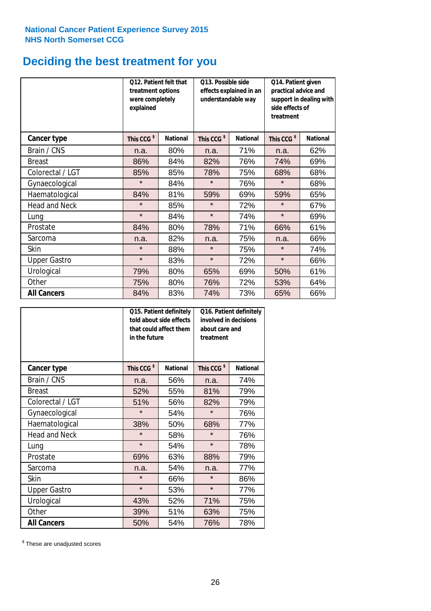# **Deciding the best treatment for you**

|                      | <b>O12. Patient felt that</b><br>treatment options<br>were completely<br>explained |                 | 013. Possible side<br>understandable way | effects explained in an | Q14. Patient given<br>practical advice and<br>support in dealing with<br>side effects of<br>treatment |                 |  |
|----------------------|------------------------------------------------------------------------------------|-----------------|------------------------------------------|-------------------------|-------------------------------------------------------------------------------------------------------|-----------------|--|
| <b>Cancer type</b>   | This CCG <sup>\$</sup>                                                             | <b>National</b> | This CCG <sup>\$</sup>                   | <b>National</b>         | This CCG <sup>\$</sup>                                                                                | <b>National</b> |  |
| Brain / CNS          | n.a.                                                                               | 80%             | n.a.                                     | 71%                     | n.a.                                                                                                  | 62%             |  |
| <b>Breast</b>        | 86%                                                                                | 84%             | 82%                                      | 76%                     | 74%                                                                                                   | 69%             |  |
| Colorectal / LGT     | 85%                                                                                | 85%             | 78%                                      | 75%                     | 68%                                                                                                   | 68%             |  |
| Gynaecological       | $\star$                                                                            | 84%             | $\star$                                  | 76%                     | $\star$                                                                                               | 68%             |  |
| Haematological       | 84%                                                                                | 81%             | 59%                                      | 69%                     | 59%                                                                                                   | 65%             |  |
| <b>Head and Neck</b> | $\star$                                                                            | 85%             | $\star$                                  | 72%                     | $\star$                                                                                               | 67%             |  |
| Lung                 | $\star$                                                                            | 84%             | $\star$                                  | 74%                     | $\star$                                                                                               | 69%             |  |
| Prostate             | 84%                                                                                | 80%             | 78%                                      | 71%                     | 66%                                                                                                   | 61%             |  |
| Sarcoma              | n.a.                                                                               | 82%             | n.a.                                     | 75%                     | n.a.                                                                                                  | 66%             |  |
| Skin                 | $\star$                                                                            | 88%             | $\star$                                  | 75%                     | $\star$                                                                                               | 74%             |  |
| <b>Upper Gastro</b>  | $\star$                                                                            | 83%             | $\star$                                  | 72%                     | $\star$                                                                                               | 66%             |  |
| Urological           | 79%                                                                                | 80%             | 65%                                      | 69%                     | 50%                                                                                                   | 61%             |  |
| Other                | 75%                                                                                | 80%             | 76%                                      | 72%                     | 53%                                                                                                   | 64%             |  |
| <b>All Cancers</b>   | 84%                                                                                | 83%             | 74%                                      | 73%                     | 65%                                                                                                   | 66%             |  |

|                      | in the future          | Q15. Patient definitely<br>told about side effects<br>that could affect them | Q16. Patient definitely<br>involved in decisions<br>about care and<br>treatment |                 |  |
|----------------------|------------------------|------------------------------------------------------------------------------|---------------------------------------------------------------------------------|-----------------|--|
| <b>Cancer type</b>   | This CCG <sup>\$</sup> | <b>National</b>                                                              | This CCG <sup>\$</sup>                                                          | <b>National</b> |  |
| Brain / CNS          | n.a.                   | 56%                                                                          | n.a.                                                                            | 74%             |  |
| <b>Breast</b>        | 52%                    | 55%                                                                          | 81%                                                                             | 79%             |  |
| Colorectal / LGT     | 51%                    | 56%                                                                          | 82%                                                                             | 79%             |  |
| Gynaecological       | $\star$                | 54%                                                                          | $\star$                                                                         | 76%             |  |
| Haematological       | 50%<br>38%             |                                                                              | 68%                                                                             | 77%             |  |
| <b>Head and Neck</b> | $\star$                | 58%                                                                          | $\star$                                                                         | 76%             |  |
| Lung                 | $\star$                | 54%                                                                          | $\star$                                                                         | 78%             |  |
| Prostate             | 69%                    | 63%                                                                          | 88%                                                                             | 79%             |  |
| Sarcoma              | n.a.                   | 54%                                                                          | n.a.                                                                            | 77%             |  |
| Skin                 | $\star$                | 66%                                                                          | $\star$                                                                         | 86%             |  |
| <b>Upper Gastro</b>  | $\star$                | 53%                                                                          | $\star$                                                                         | 77%             |  |
| Urological           | 43%                    | 52%                                                                          | 71%                                                                             | 75%             |  |
| Other                | 39%                    | 51%                                                                          | 63%                                                                             | 75%             |  |
| <b>All Cancers</b>   | 50%                    | 54%                                                                          | 76%                                                                             | 78%             |  |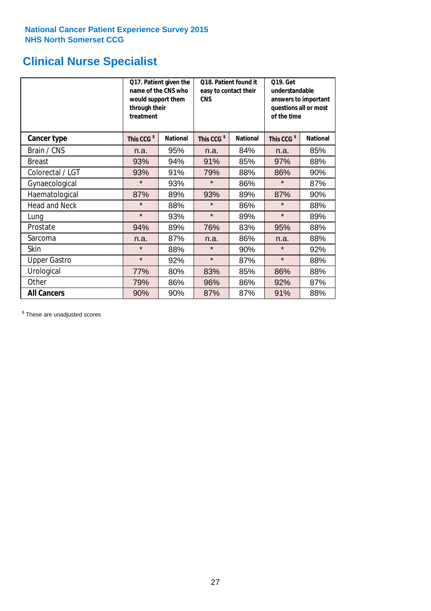# **Clinical Nurse Specialist**

|                      | would support them<br>through their<br>treatment | Q17. Patient given the<br>name of the CNS who | Q18. Patient found it<br>easy to contact their<br><b>CNS</b> |                 | <b>Q19. Get</b><br>understandable<br>answers to important<br>questions all or most<br>of the time |                 |  |
|----------------------|--------------------------------------------------|-----------------------------------------------|--------------------------------------------------------------|-----------------|---------------------------------------------------------------------------------------------------|-----------------|--|
| <b>Cancer type</b>   | This CCG <sup>\$</sup>                           | <b>National</b>                               | This CCG <sup>\$</sup>                                       | <b>National</b> | This CCG <sup>\$</sup>                                                                            | <b>National</b> |  |
| Brain / CNS          | n.a.                                             | 95%                                           | n.a.                                                         | 84%             | n.a.                                                                                              | 85%             |  |
| <b>Breast</b>        | 93%                                              | 94%                                           | 91%                                                          | 85%             | 97%                                                                                               | 88%             |  |
| Colorectal / LGT     | 93%                                              | 91%                                           | 79%                                                          | 88%             | 86%                                                                                               | 90%             |  |
| Gynaecological       | $\star$                                          | 93%                                           | $\star$                                                      | 86%             | $\star$                                                                                           | 87%             |  |
| Haematological       | 87%                                              | 89%                                           | 93%                                                          | 89%             | 87%                                                                                               | 90%             |  |
| <b>Head and Neck</b> | $\star$                                          | 88%                                           | $\star$                                                      | 86%             | $\star$                                                                                           | 88%             |  |
| Lung                 | $\star$                                          | 93%                                           | $\star$                                                      | 89%             | $\star$                                                                                           | 89%             |  |
| Prostate             | 94%                                              | 89%                                           | 76%                                                          | 83%             | 95%                                                                                               | 88%             |  |
| Sarcoma              | n.a.                                             | 87%                                           | n.a.                                                         | 86%             | n.a.                                                                                              | 88%             |  |
| Skin                 | $\star$                                          | 88%                                           | $\star$                                                      | 90%             | $\star$                                                                                           | 92%             |  |
| <b>Upper Gastro</b>  | $\star$                                          | 92%                                           | $\star$                                                      | 87%             | $\star$                                                                                           | 88%             |  |
| Urological           | 77%                                              | 80%                                           | 83%                                                          | 85%             | 86%                                                                                               | 88%             |  |
| Other                | 79%                                              | 86%                                           | 96%                                                          | 86%             | 92%                                                                                               | 87%             |  |
| <b>All Cancers</b>   | 90%                                              | 90%                                           | 87%                                                          | 87%             | 91%                                                                                               | 88%             |  |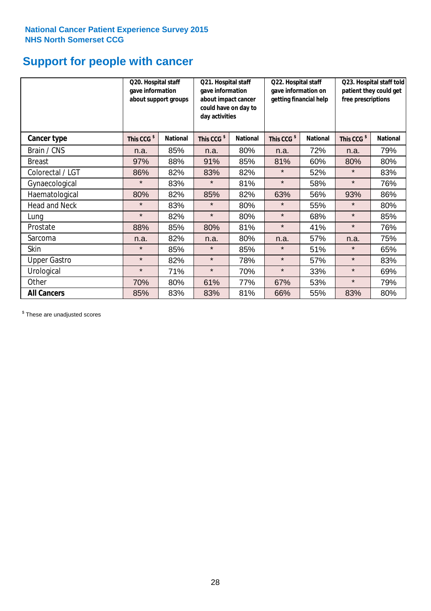# **Support for people with cancer**

|                      |                        | Q20. Hospital staff<br>Q21. Hospital staff<br>gave information<br>gave information<br>about support groups<br>about impact cancer<br>could have on day to<br>day activities |                        |                 | Q22. Hospital staff<br>gave information on<br>getting financial help |                 | Q23. Hospital staff told<br>patient they could get<br>free prescriptions |                 |
|----------------------|------------------------|-----------------------------------------------------------------------------------------------------------------------------------------------------------------------------|------------------------|-----------------|----------------------------------------------------------------------|-----------------|--------------------------------------------------------------------------|-----------------|
| <b>Cancer type</b>   | This CCG <sup>\$</sup> | <b>National</b>                                                                                                                                                             | This CCG <sup>\$</sup> | <b>National</b> | This CCG <sup>\$</sup>                                               | <b>National</b> | This CCG <sup>\$</sup>                                                   | <b>National</b> |
| Brain / CNS          | n.a.                   | 85%                                                                                                                                                                         | n.a.                   | 80%             | n.a.                                                                 | 72%             | n.a.                                                                     | 79%             |
| <b>Breast</b>        | 97%                    | 88%                                                                                                                                                                         | 91%                    | 85%             | 81%                                                                  | 60%             | 80%                                                                      | 80%             |
| Colorectal / LGT     | 86%                    | 82%                                                                                                                                                                         | 83%                    | 82%             | $\star$                                                              | 52%             | $\star$                                                                  | 83%             |
| Gynaecological       | $\star$                | 83%                                                                                                                                                                         | $\star$                | 81%             | $\star$                                                              | 58%             | $\star$                                                                  | 76%             |
| Haematological       | 80%                    | 82%                                                                                                                                                                         | 85%                    | 82%             | 63%                                                                  | 56%             | 93%                                                                      | 86%             |
| <b>Head and Neck</b> | $\star$                | 83%                                                                                                                                                                         | $\star$                | 80%             | $^\star$                                                             | 55%             | $\star$                                                                  | 80%             |
| Lung                 | $\star$                | 82%                                                                                                                                                                         | $\star$                | 80%             | $\star$                                                              | 68%             | $\star$                                                                  | 85%             |
| Prostate             | 88%                    | 85%                                                                                                                                                                         | 80%                    | 81%             | $\star$                                                              | 41%             | $\star$                                                                  | 76%             |
| Sarcoma              | n.a.                   | 82%                                                                                                                                                                         | n.a.                   | 80%             | n.a.                                                                 | 57%             | n.a.                                                                     | 75%             |
| Skin                 | $\star$                | 85%                                                                                                                                                                         | $\star$                | 85%             | $\star$                                                              | 51%             | $\star$                                                                  | 65%             |
| <b>Upper Gastro</b>  | $\star$                | 82%                                                                                                                                                                         | $\star$                | 78%             | $\star$                                                              | 57%             | $\star$                                                                  | 83%             |
| Urological           | $\star$                | 71%                                                                                                                                                                         | $\star$                | 70%             | $\star$                                                              | 33%             | $\star$                                                                  | 69%             |
| Other                | 70%                    | 80%                                                                                                                                                                         | 61%                    | 77%             | 67%                                                                  | 53%             | $\star$                                                                  | 79%             |
| <b>All Cancers</b>   | 85%                    | 83%                                                                                                                                                                         | 83%                    | 81%             | 66%                                                                  | 55%             | 83%                                                                      | 80%             |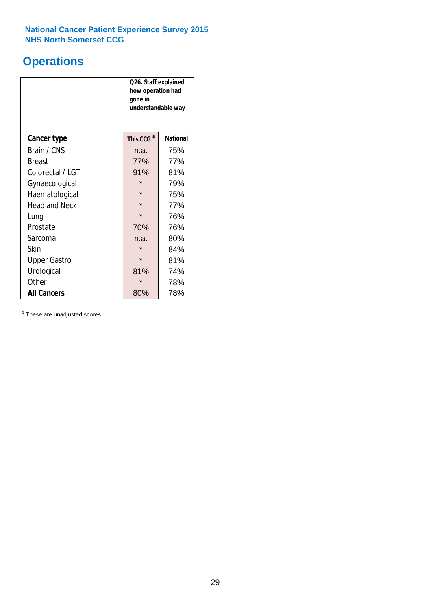### **Operations**

|                      | Q26. Staff explained<br>how operation had<br>gone in<br>understandable way |                 |  |  |
|----------------------|----------------------------------------------------------------------------|-----------------|--|--|
| <b>Cancer type</b>   | This CCG <sup>\$</sup>                                                     | <b>National</b> |  |  |
| Brain / CNS          | n.a.                                                                       | 75%             |  |  |
| <b>Breast</b>        | 77%                                                                        | 77%             |  |  |
| Colorectal / LGT     | 91%                                                                        | 81%             |  |  |
| Gynaecological       | $\star$                                                                    | 79%             |  |  |
| Haematological       | $\star$                                                                    | 75%             |  |  |
| <b>Head and Neck</b> | $\star$                                                                    | 77%             |  |  |
| Lung                 | $\star$                                                                    | 76%             |  |  |
| Prostate             | 70%                                                                        | 76%             |  |  |
| Sarcoma              | n.a.                                                                       | 80%             |  |  |
| Skin                 | $\star$                                                                    | 84%             |  |  |
| <b>Upper Gastro</b>  | $\star$                                                                    | 81%             |  |  |
| Urological           | 81%                                                                        | 74%             |  |  |
| Other                | $\star$                                                                    | 78%             |  |  |
| <b>All Cancers</b>   | 80%                                                                        | 78%             |  |  |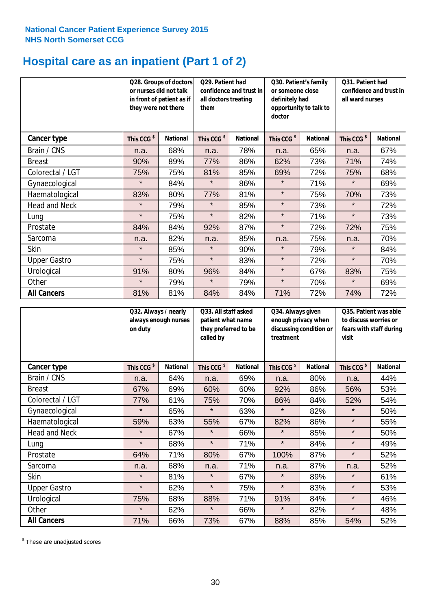# **Hospital care as an inpatient (Part 1 of 2)**

|                      | or nurses did not talk<br>they were not there | Q28. Groups of doctors<br>in front of patient as if | Q29. Patient had<br>confidence and trust in<br>all doctors treating<br>them |                 | Q30. Patient's family<br>or someone close<br>definitely had<br>opportunity to talk to<br>doctor |                 | Q31. Patient had<br>confidence and trust in I<br>all ward nurses |                 |
|----------------------|-----------------------------------------------|-----------------------------------------------------|-----------------------------------------------------------------------------|-----------------|-------------------------------------------------------------------------------------------------|-----------------|------------------------------------------------------------------|-----------------|
| Cancer type          | This CCG <sup>\$</sup>                        | <b>National</b>                                     | This CCG <sup>\$</sup>                                                      | <b>National</b> | This CCG <sup>\$</sup>                                                                          | <b>National</b> | This CCG <sup>\$</sup>                                           | <b>National</b> |
| Brain / CNS          | n.a.                                          | 68%                                                 | n.a.                                                                        | 78%             | n.a.                                                                                            | 65%             | n.a.                                                             | 67%             |
| <b>Breast</b>        | 90%                                           | 89%                                                 | 77%                                                                         | 86%             | 62%                                                                                             | 73%             | 71%                                                              | 74%             |
| Colorectal / LGT     | 75%                                           | 75%                                                 | 81%                                                                         | 85%             | 69%                                                                                             | 72%             | 75%                                                              | 68%             |
| Gynaecological       | $\star$                                       | 84%                                                 | $\star$                                                                     | 86%             | $\star$                                                                                         | 71%             | $\star$                                                          | 69%             |
| Haematological       | 83%                                           | 80%                                                 | 77%                                                                         | 81%             | $\star$                                                                                         | 75%             | 70%                                                              | 73%             |
| <b>Head and Neck</b> | $\star$                                       | 79%                                                 | $\star$                                                                     | 85%             | $\star$                                                                                         | 73%             | $\star$                                                          | 72%             |
| Lung                 | $\star$                                       | 75%                                                 | $\star$                                                                     | 82%             | $\star$                                                                                         | 71%             | $\star$                                                          | 73%             |
| Prostate             | 84%                                           | 84%                                                 | 92%                                                                         | 87%             | $\star$                                                                                         | 72%             | 72%                                                              | 75%             |
| Sarcoma              | n.a.                                          | 82%                                                 | n.a.                                                                        | 85%             | n.a.                                                                                            | 75%             | n.a.                                                             | 70%             |
| Skin                 | $\star$                                       | 85%                                                 | $\star$                                                                     | 90%             | $\star$                                                                                         | 79%             | $\star$                                                          | 84%             |
| <b>Upper Gastro</b>  | $\star$                                       | 75%                                                 | $\star$                                                                     | 83%             | $\star$                                                                                         | 72%             | $\star$                                                          | 70%             |
| Urological           | 91%                                           | 80%                                                 | 96%                                                                         | 84%             | $\star$                                                                                         | 67%             | 83%                                                              | 75%             |
| Other                | $\star$                                       | 79%                                                 | $\star$                                                                     | 79%             | $\star$                                                                                         | 70%             | $\star$                                                          | 69%             |
| <b>All Cancers</b>   | 81%                                           | 81%                                                 | 84%                                                                         | 84%             | 71%                                                                                             | 72%             | 74%                                                              | 72%             |

|                      | on duty                | Q32. Always / nearly<br>always enough nurses |                        | Q33. All staff asked<br>patient what name<br>they preferred to be<br>called by |                        | Q34. Always given<br>enough privacy when<br>discussing condition or<br>treatment |                        | Q35. Patient was able<br>to discuss worries or<br>fears with staff during<br>visit |  |
|----------------------|------------------------|----------------------------------------------|------------------------|--------------------------------------------------------------------------------|------------------------|----------------------------------------------------------------------------------|------------------------|------------------------------------------------------------------------------------|--|
| <b>Cancer type</b>   | This CCG <sup>\$</sup> | <b>National</b>                              | This CCG <sup>\$</sup> | <b>National</b>                                                                | This CCG <sup>\$</sup> | <b>National</b>                                                                  | This CCG <sup>\$</sup> | <b>National</b>                                                                    |  |
| Brain / CNS          | n.a.                   | 64%                                          | n.a.                   | 69%                                                                            | n.a.                   | 80%                                                                              | n.a.                   | 44%                                                                                |  |
| <b>Breast</b>        | 67%                    | 69%                                          | 60%                    | 60%                                                                            | 92%                    | 86%                                                                              | 56%                    | 53%                                                                                |  |
| Colorectal / LGT     | 77%                    | 61%                                          | 75%                    | 70%                                                                            | 86%                    | 84%                                                                              | 52%                    | 54%                                                                                |  |
| Gynaecological       | $\star$                | 65%                                          | $\star$                | 63%                                                                            | $\star$                | 82%                                                                              | $\star$                | 50%                                                                                |  |
| Haematological       | 59%                    | 63%                                          | 55%                    | 67%                                                                            | 82%                    | 86%                                                                              | $\star$                | 55%                                                                                |  |
| <b>Head and Neck</b> | $\star$                | 67%                                          | $\star$                | 66%                                                                            | $\star$                | 85%                                                                              | $\star$                | 50%                                                                                |  |
| Lung                 | $\star$                | 68%                                          | $\star$                | 71%                                                                            | $\star$                | 84%                                                                              | $\star$                | 49%                                                                                |  |
| Prostate             | 64%                    | 71%                                          | 80%                    | 67%                                                                            | 100%                   | 87%                                                                              | $\star$                | 52%                                                                                |  |
| Sarcoma              | n.a.                   | 68%                                          | n.a.                   | 71%                                                                            | n.a.                   | 87%                                                                              | n.a.                   | 52%                                                                                |  |
| Skin                 | $\star$                | 81%                                          | $\star$                | 67%                                                                            | $\star$                | 89%                                                                              | $\star$                | 61%                                                                                |  |
| <b>Upper Gastro</b>  | $\star$                | 62%                                          | $\star$                | 75%                                                                            | $\star$                | 83%                                                                              | $\star$                | 53%                                                                                |  |
| Urological           | 75%                    | 68%                                          | 88%                    | 71%                                                                            | 91%                    | 84%                                                                              | $\star$                | 46%                                                                                |  |
| Other                | $\star$                | 62%                                          | $\star$                | 66%                                                                            | $\star$                | 82%                                                                              | $\star$                | 48%                                                                                |  |
| <b>All Cancers</b>   | 71%                    | 66%                                          | 73%                    | 67%                                                                            | 88%                    | 85%                                                                              | 54%                    | 52%                                                                                |  |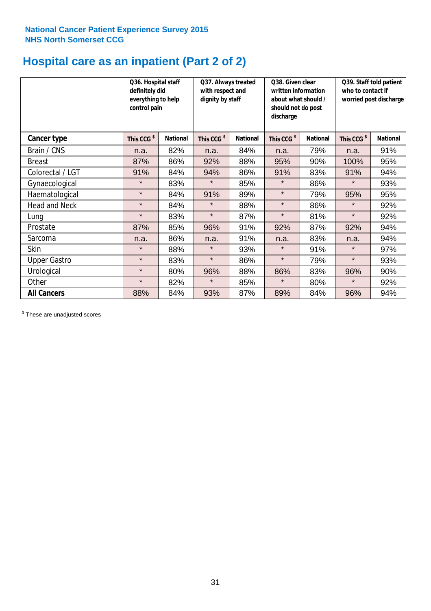# **Hospital care as an inpatient (Part 2 of 2)**

|                      | Q36. Hospital staff<br>definitely did<br>everything to help<br>control pain |                 | Q37. Always treated<br>with respect and<br>dignity by staff |                 | Q38. Given clear<br>written information<br>about what should /<br>should not do post<br>discharge |                 | Q39. Staff told patient<br>who to contact if<br>worried post discharge |                 |
|----------------------|-----------------------------------------------------------------------------|-----------------|-------------------------------------------------------------|-----------------|---------------------------------------------------------------------------------------------------|-----------------|------------------------------------------------------------------------|-----------------|
| Cancer type          | This CCG <sup>\$</sup>                                                      | <b>National</b> | This CCG <sup>\$</sup>                                      | <b>National</b> | This CCG <sup>\$</sup>                                                                            | <b>National</b> | This CCG <sup>\$</sup>                                                 | <b>National</b> |
| Brain / CNS          | n.a.                                                                        | 82%             | n.a.                                                        | 84%             | n.a.                                                                                              | 79%             | n.a.                                                                   | 91%             |
| <b>Breast</b>        | 87%                                                                         | 86%             | 92%                                                         | 88%             | 95%                                                                                               | 90%             | 100%                                                                   | 95%             |
| Colorectal / LGT     | 91%                                                                         | 84%             | 94%                                                         | 86%             | 91%                                                                                               | 83%             | 91%                                                                    | 94%             |
| Gynaecological       | $\star$                                                                     | 83%             | $\star$                                                     | 85%             | $\star$                                                                                           | 86%             | $\star$                                                                | 93%             |
| Haematological       | $\star$                                                                     | 84%             | 91%                                                         | 89%             | $\star$                                                                                           | 79%             | 95%                                                                    | 95%             |
| <b>Head and Neck</b> | $\star$                                                                     | 84%             | $\star$                                                     | 88%             | $\star$                                                                                           | 86%             | $\star$                                                                | 92%             |
| Lung                 | $\star$                                                                     | 83%             | $\star$                                                     | 87%             | $\star$                                                                                           | 81%             | $\star$                                                                | 92%             |
| Prostate             | 87%                                                                         | 85%             | 96%                                                         | 91%             | 92%                                                                                               | 87%             | 92%                                                                    | 94%             |
| Sarcoma              | n.a.                                                                        | 86%             | n.a.                                                        | 91%             | n.a.                                                                                              | 83%             | n.a.                                                                   | 94%             |
| Skin                 | $\star$                                                                     | 88%             | $\star$                                                     | 93%             | $\star$                                                                                           | 91%             | $\star$                                                                | 97%             |
| <b>Upper Gastro</b>  | $\star$                                                                     | 83%             | $\star$                                                     | 86%             | $\star$                                                                                           | 79%             | $\star$                                                                | 93%             |
| Urological           | $\star$                                                                     | 80%             | 96%                                                         | 88%             | 86%                                                                                               | 83%             | 96%                                                                    | 90%             |
| Other                | $\star$                                                                     | 82%             | $\star$                                                     | 85%             | $\star$                                                                                           | 80%             | $\star$                                                                | 92%             |
| <b>All Cancers</b>   | 88%                                                                         | 84%             | 93%                                                         | 87%             | 89%                                                                                               | 84%             | 96%                                                                    | 94%             |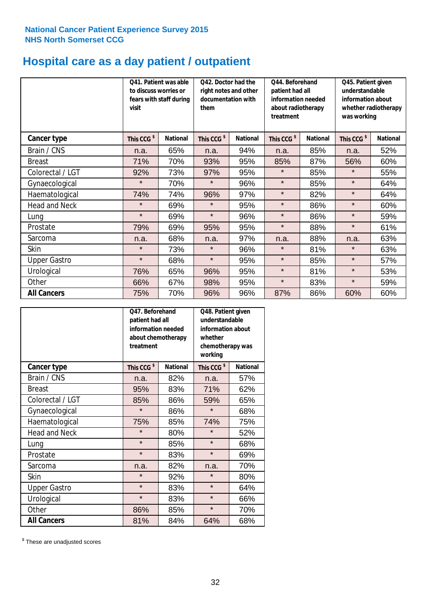# **Hospital care as a day patient / outpatient**

|                      | to discuss worries or<br>visit | Q41. Patient was able<br>fears with staff during | Q42. Doctor had the<br>right notes and other<br>documentation with<br>them |                 | Q44. Beforehand<br>patient had all<br>information needed<br>about radiotherapy<br>treatment |                 | Q45. Patient given<br>understandable<br>information about<br>whether radiotherapy<br>was working |                 |
|----------------------|--------------------------------|--------------------------------------------------|----------------------------------------------------------------------------|-----------------|---------------------------------------------------------------------------------------------|-----------------|--------------------------------------------------------------------------------------------------|-----------------|
| Cancer type          | This CCG <sup>\$</sup>         | <b>National</b>                                  | This CCG <sup>\$</sup>                                                     | <b>National</b> | This CCG <sup>\$</sup>                                                                      | <b>National</b> | This CCG <sup>\$</sup>                                                                           | <b>National</b> |
| Brain / CNS          | n.a.                           | 65%                                              | n.a.                                                                       | 94%             | n.a.                                                                                        | 85%             | n.a.                                                                                             | 52%             |
| <b>Breast</b>        | 71%                            | 70%                                              | 93%                                                                        | 95%             | 85%                                                                                         | 87%             | 56%                                                                                              | 60%             |
| Colorectal / LGT     | 92%                            | 73%                                              | 97%                                                                        | 95%             | $\star$                                                                                     | 85%             | $\star$                                                                                          | 55%             |
| Gynaecological       | $\star$                        | 70%                                              | $\star$                                                                    | 96%             | $\star$                                                                                     | 85%             | $\star$                                                                                          | 64%             |
| Haematological       | 74%                            | 74%                                              | 96%                                                                        | 97%             | $\star$                                                                                     | 82%             | $\star$                                                                                          | 64%             |
| <b>Head and Neck</b> | $\star$                        | 69%                                              | $\star$                                                                    | 95%             | $\star$                                                                                     | 86%             | $\star$                                                                                          | 60%             |
| Lung                 | $\star$                        | 69%                                              | $\star$                                                                    | 96%             | $\star$                                                                                     | 86%             | $\star$                                                                                          | 59%             |
| Prostate             | 79%                            | 69%                                              | 95%                                                                        | 95%             | $\star$                                                                                     | 88%             | $\star$                                                                                          | 61%             |
| Sarcoma              | n.a.                           | 68%                                              | n.a.                                                                       | 97%             | n.a.                                                                                        | 88%             | n.a.                                                                                             | 63%             |
| Skin                 | $\star$                        | 73%                                              | $\star$                                                                    | 96%             | $\star$                                                                                     | 81%             | $\star$                                                                                          | 63%             |
| <b>Upper Gastro</b>  | $\star$                        | 68%                                              | $\star$                                                                    | 95%             | $\star$                                                                                     | 85%             | $\star$                                                                                          | 57%             |
| Urological           | 76%                            | 65%                                              | 96%                                                                        | 95%             | $\star$                                                                                     | 81%             | $\star$                                                                                          | 53%             |
| Other                | 66%                            | 67%                                              | 98%                                                                        | 95%             | $\star$                                                                                     | 83%             | $\star$                                                                                          | 59%             |
| <b>All Cancers</b>   | 75%                            | 70%                                              | 96%                                                                        | 96%             | 87%                                                                                         | 86%             | 60%                                                                                              | 60%             |

|                      | O47. Beforehand<br>patient had all<br>information needed<br>about chemotherapy<br>treatment |                 | Q48. Patient given<br>understandable<br>information about<br>whether<br>chemotherapy was<br>working |                 |  |
|----------------------|---------------------------------------------------------------------------------------------|-----------------|-----------------------------------------------------------------------------------------------------|-----------------|--|
| <b>Cancer type</b>   | This CCG <sup>\$</sup>                                                                      | <b>National</b> | This CCG <sup>\$</sup>                                                                              | <b>National</b> |  |
| Brain / CNS          | n.a.                                                                                        | 82%             | n.a.                                                                                                | 57%             |  |
| <b>Breast</b>        | 95%                                                                                         | 83%             | 71%                                                                                                 | 62%             |  |
| Colorectal / LGT     | 85%                                                                                         | 86%             | 59%                                                                                                 | 65%             |  |
| Gynaecological       | $\star$                                                                                     | 86%             | $\star$                                                                                             | 68%             |  |
| Haematological       | 75%<br>85%                                                                                  |                 | 74%                                                                                                 | 75%             |  |
| <b>Head and Neck</b> | $\star$                                                                                     | 80%             | $\star$                                                                                             | 52%             |  |
| Lung                 | $\star$                                                                                     | 85%             | $\star$                                                                                             | 68%             |  |
| Prostate             | $\star$                                                                                     | 83%             | $\star$                                                                                             | 69%             |  |
| Sarcoma              | n.a.                                                                                        | 82%             | n.a.                                                                                                | 70%             |  |
| Skin                 | $\star$                                                                                     | 92%             | $\star$                                                                                             | 80%             |  |
| <b>Upper Gastro</b>  | $\star$                                                                                     | 83%             | $\star$                                                                                             | 64%             |  |
| Urological           | $\star$                                                                                     | 83%             | $\star$                                                                                             | 66%             |  |
| Other                | 86%                                                                                         | 85%             | $\star$                                                                                             | 70%             |  |
| <b>All Cancers</b>   | 81%                                                                                         | 84%             | 64%                                                                                                 | 68%             |  |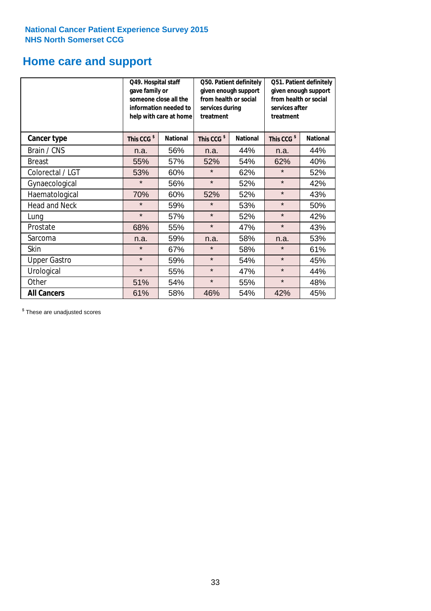### **Home care and support**

|                      | Q49. Hospital staff<br>gave family or | someone close all the<br>information needed to<br>help with care at home | Q50. Patient definitely<br>given enough support<br>from health or social<br>services during<br>treatment |                 | Q51. Patient definitely<br>given enough support<br>from health or social<br>services after<br>treatment |                 |
|----------------------|---------------------------------------|--------------------------------------------------------------------------|----------------------------------------------------------------------------------------------------------|-----------------|---------------------------------------------------------------------------------------------------------|-----------------|
| <b>Cancer type</b>   | This CCG <sup>\$</sup>                | <b>National</b>                                                          | This CCG <sup>\$</sup>                                                                                   | <b>National</b> | This CCG <sup>\$</sup>                                                                                  | <b>National</b> |
| Brain / CNS          | n.a.                                  | 56%                                                                      | n.a.                                                                                                     | 44%             | n.a.                                                                                                    | 44%             |
| <b>Breast</b>        | 55%                                   | 57%                                                                      | 52%                                                                                                      | 54%             | 62%                                                                                                     | 40%             |
| Colorectal / LGT     | 53%                                   | 60%                                                                      | $\star$                                                                                                  | 62%             | $\star$                                                                                                 | 52%             |
| Gynaecological       | $\star$                               | 56%                                                                      | $\star$                                                                                                  | 52%             | $\star$                                                                                                 | 42%             |
| Haematological       | 70%                                   | 60%                                                                      | 52%                                                                                                      | 52%             | $\star$                                                                                                 | 43%             |
| <b>Head and Neck</b> | $\star$                               | 59%                                                                      | $\star$                                                                                                  | 53%             | $\star$                                                                                                 | 50%             |
| Lung                 | $\star$                               | 57%                                                                      | $\star$                                                                                                  | 52%             | $\star$                                                                                                 | 42%             |
| Prostate             | 68%                                   | 55%                                                                      | $\star$                                                                                                  | 47%             | $\star$                                                                                                 | 43%             |
| Sarcoma              | n.a.                                  | 59%                                                                      | n.a.                                                                                                     | 58%             | n.a.                                                                                                    | 53%             |
| Skin                 | $\star$                               | 67%                                                                      | $\star$                                                                                                  | 58%             | $\star$                                                                                                 | 61%             |
| <b>Upper Gastro</b>  | $\star$                               | 59%                                                                      | $\star$                                                                                                  | 54%             | $\star$                                                                                                 | 45%             |
| Urological           | $\star$                               | 55%                                                                      | $\star$                                                                                                  | 47%             | $\star$                                                                                                 | 44%             |
| Other                | 51%                                   | 54%                                                                      | $\star$                                                                                                  | 55%             | $\star$                                                                                                 | 48%             |
| <b>All Cancers</b>   | 61%                                   | 58%                                                                      | 46%                                                                                                      | 54%             | 42%                                                                                                     | 45%             |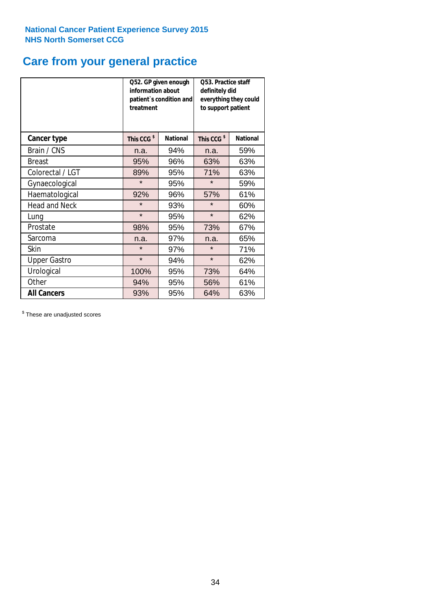### **Care from your general practice**

|                      | information about<br>treatment | Q52. GP given enough<br>patient's condition and | O53. Practice staff<br>definitely did<br>everything they could<br>to support patient |                 |  |
|----------------------|--------------------------------|-------------------------------------------------|--------------------------------------------------------------------------------------|-----------------|--|
| <b>Cancer type</b>   | This CCG <sup>\$</sup>         | <b>National</b>                                 | This CCG <sup>\$</sup>                                                               | <b>National</b> |  |
| Brain / CNS          | n.a.                           | 94%                                             | n.a.                                                                                 | 59%             |  |
| <b>Breast</b>        | 95%                            | 96%                                             | 63%                                                                                  | 63%             |  |
| Colorectal / LGT     | 89%                            | 95%                                             | 71%                                                                                  | 63%             |  |
| Gynaecological       | $\star$                        | 95%                                             | $\star$                                                                              | 59%             |  |
| Haematological       | 92%                            | 96%                                             | 57%                                                                                  | 61%             |  |
| <b>Head and Neck</b> | $\star$                        | 93%                                             | $\star$                                                                              | 60%             |  |
| Lung                 | $\star$                        | 95%                                             | $\star$                                                                              | 62%             |  |
| Prostate             | 98%                            | 95%                                             | 73%                                                                                  | 67%             |  |
| Sarcoma              | n.a.                           | 97%                                             | n.a.                                                                                 | 65%             |  |
| Skin                 | $\star$                        | 97%                                             | $\star$                                                                              | 71%             |  |
| <b>Upper Gastro</b>  | $\star$                        | 94%                                             | $\star$                                                                              | 62%             |  |
| Urological           | 100%                           | 95%                                             | 73%                                                                                  | 64%             |  |
| Other                | 94%                            | 95%                                             | 56%                                                                                  | 61%             |  |
| <b>All Cancers</b>   | 93%                            | 95%                                             | 64%                                                                                  | 63%             |  |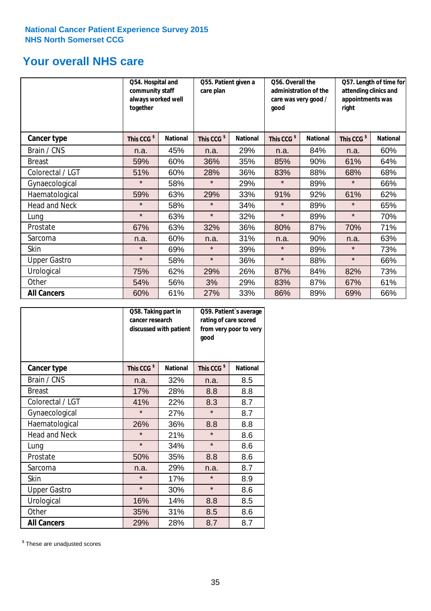### **Your overall NHS care**

|                      | Q54. Hospital and<br>community staff<br>always worked well<br>together |                 | Q55. Patient given a<br>care plan |                 | Q56. Overall the<br>administration of the<br>care was very good /<br>qood |                 | Q57. Length of time for<br>attending clinics and<br>appointments was<br>right |                 |
|----------------------|------------------------------------------------------------------------|-----------------|-----------------------------------|-----------------|---------------------------------------------------------------------------|-----------------|-------------------------------------------------------------------------------|-----------------|
| <b>Cancer type</b>   | This CCG <sup>\$</sup>                                                 | <b>National</b> | This CCG <sup>\$</sup>            | <b>National</b> | This CCG <sup>\$</sup>                                                    | <b>National</b> | This CCG <sup>\$</sup>                                                        | <b>National</b> |
| Brain / CNS          | n.a.                                                                   | 45%             | n.a.                              | 29%             | n.a.                                                                      | 84%             | n.a.                                                                          | 60%             |
| <b>Breast</b>        | 59%                                                                    | 60%             | 36%                               | 35%             | 85%                                                                       | 90%             | 61%                                                                           | 64%             |
| Colorectal / LGT     | 51%                                                                    | 60%             | 28%                               | 36%             | 83%                                                                       | 88%             | 68%                                                                           | 68%             |
| Gynaecological       | $\star$                                                                | 58%             | $\star$                           | 29%             | $\star$                                                                   | 89%             | $\star$                                                                       | 66%             |
| Haematological       | 59%                                                                    | 63%             | 29%                               | 33%             | 91%                                                                       | 92%             | 61%                                                                           | 62%             |
| <b>Head and Neck</b> | $\star$                                                                | 58%             | $\star$                           | 34%             | $\star$                                                                   | 89%             | $\star$                                                                       | 65%             |
| Lung                 | $\star$                                                                | 63%             | $\star$                           | 32%             | $\star$                                                                   | 89%             | $\star$                                                                       | 70%             |
| Prostate             | 67%                                                                    | 63%             | 32%                               | 36%             | 80%                                                                       | 87%             | 70%                                                                           | 71%             |
| Sarcoma              | n.a.                                                                   | 60%             | n.a.                              | 31%             | n.a.                                                                      | 90%             | n.a.                                                                          | 63%             |
| Skin                 | $\star$                                                                | 69%             | $\star$                           | 39%             | $\star$                                                                   | 89%             | $\star$                                                                       | 73%             |
| <b>Upper Gastro</b>  | $\star$                                                                | 58%             | $\star$                           | 36%             | $\star$                                                                   | 88%             | $\star$                                                                       | 66%             |
| Urological           | 75%                                                                    | 62%             | 29%                               | 26%             | 87%                                                                       | 84%             | 82%                                                                           | 73%             |
| Other                | 54%                                                                    | 56%             | 3%                                | 29%             | 83%                                                                       | 87%             | 67%                                                                           | 61%             |
| <b>All Cancers</b>   | 60%                                                                    | 61%             | 27%                               | 33%             | 86%                                                                       | 89%             | 69%                                                                           | 66%             |

|                      | Q58. Taking part in<br>cancer research | discussed with patient | Q59. Patient's average<br>rating of care scored<br>from very poor to very<br>good |                 |  |
|----------------------|----------------------------------------|------------------------|-----------------------------------------------------------------------------------|-----------------|--|
| <b>Cancer type</b>   | This CCG <sup>\$</sup>                 | <b>National</b>        | This CCG <sup>\$</sup>                                                            | <b>National</b> |  |
| Brain / CNS          | n.a.                                   | 32%                    | n.a.                                                                              | 8.5             |  |
| <b>Breast</b>        | 17%                                    | 28%                    | 8.8                                                                               | 8.8             |  |
| Colorectal / LGT     | 41%                                    | 22%                    | 8.3                                                                               | 8.7             |  |
| Gynaecological       | $\star$                                | 27%                    | $\star$                                                                           | 8.7             |  |
| Haematological       | 26%                                    | 36%                    | 8.8                                                                               | 8.8             |  |
| <b>Head and Neck</b> | $\star$                                | 21%                    | $\star$                                                                           | 8.6             |  |
| Lung                 | $\star$                                | 34%                    | $\star$                                                                           | 8.6             |  |
| Prostate             | 50%                                    | 35%                    | 8.8                                                                               | 8.6             |  |
| Sarcoma              | n.a.                                   | 29%                    | n.a.                                                                              | 8.7             |  |
| Skin                 | $\star$                                | 17%                    | $\star$                                                                           | 8.9             |  |
| <b>Upper Gastro</b>  | $\star$                                | 30%                    | $\star$                                                                           | 8.6             |  |
| Urological           | 16%                                    | 14%                    | 8.8                                                                               | 8.5             |  |
| Other                | 35%                                    | 31%                    | 8.5                                                                               | 8.6             |  |
| <b>All Cancers</b>   | 29%                                    | 28%                    | 8.7                                                                               | 8.7             |  |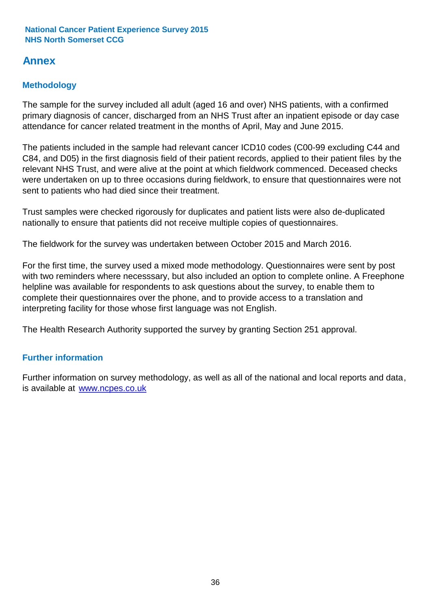### **Annex**

### **Methodology**

The sample for the survey included all adult (aged 16 and over) NHS patients, with a confirmed primary diagnosis of cancer, discharged from an NHS Trust after an inpatient episode or day case attendance for cancer related treatment in the months of April, May and June 2015.

The patients included in the sample had relevant cancer ICD10 codes (C00-99 excluding C44 and C84, and D05) in the first diagnosis field of their patient records, applied to their patient files by the relevant NHS Trust, and were alive at the point at which fieldwork commenced. Deceased checks were undertaken on up to three occasions during fieldwork, to ensure that questionnaires were not sent to patients who had died since their treatment.

Trust samples were checked rigorously for duplicates and patient lists were also de-duplicated nationally to ensure that patients did not receive multiple copies of questionnaires.

The fieldwork for the survey was undertaken between October 2015 and March 2016.

For the first time, the survey used a mixed mode methodology. Questionnaires were sent by post with two reminders where necesssary, but also included an option to complete online. A Freephone helpline was available for respondents to ask questions about the survey, to enable them to complete their questionnaires over the phone, and to provide access to a translation and interpreting facility for those whose first language was not English.

The Health Research Authority supported the survey by granting Section 251 approval.

#### **Further information**

Further information on survey methodology, as well as all of the national and local reports and data, is available at www.ncpes.co.uk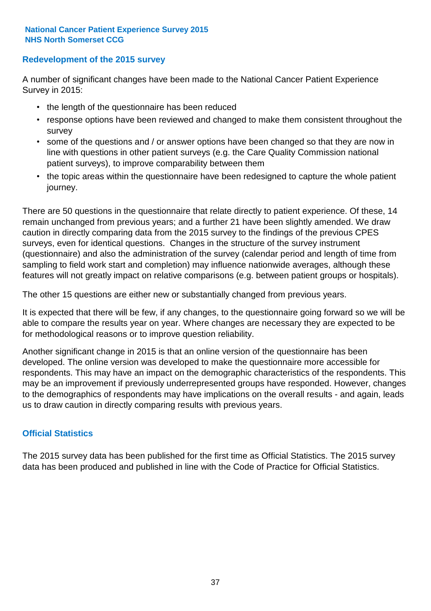#### **Redevelopment of the 2015 survey**

A number of significant changes have been made to the National Cancer Patient Experience Survey in 2015:

- the length of the questionnaire has been reduced
- response options have been reviewed and changed to make them consistent throughout the survey
- some of the questions and / or answer options have been changed so that they are now in line with questions in other patient surveys (e.g. the Care Quality Commission national patient surveys), to improve comparability between them
- the topic areas within the questionnaire have been redesigned to capture the whole patient journey.

There are 50 questions in the questionnaire that relate directly to patient experience. Of these, 14 remain unchanged from previous years; and a further 21 have been slightly amended. We draw caution in directly comparing data from the 2015 survey to the findings of the previous CPES surveys, even for identical questions. Changes in the structure of the survey instrument (questionnaire) and also the administration of the survey (calendar period and length of time from sampling to field work start and completion) may influence nationwide averages, although these features will not greatly impact on relative comparisons (e.g. between patient groups or hospitals).

The other 15 questions are either new or substantially changed from previous years.

It is expected that there will be few, if any changes, to the questionnaire going forward so we will be able to compare the results year on year. Where changes are necessary they are expected to be for methodological reasons or to improve question reliability.

Another significant change in 2015 is that an online version of the questionnaire has been developed. The online version was developed to make the questionnaire more accessible for respondents. This may have an impact on the demographic characteristics of the respondents. This may be an improvement if previously underrepresented groups have responded. However, changes to the demographics of respondents may have implications on the overall results - and again, leads us to draw caution in directly comparing results with previous years.

#### **Official Statistics**

The 2015 survey data has been published for the first time as Official Statistics. The 2015 survey data has been produced and published in line with the Code of Practice for Official Statistics.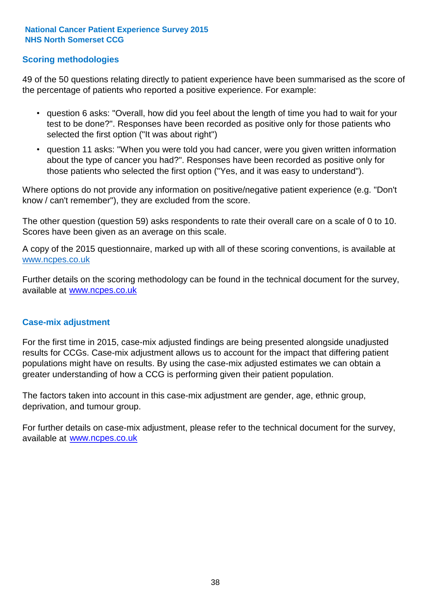#### **Scoring methodologies**

49 of the 50 questions relating directly to patient experience have been summarised as the score of the percentage of patients who reported a positive experience. For example:

- question 6 asks: "Overall, how did you feel about the length of time you had to wait for your test to be done?". Responses have been recorded as positive only for those patients who selected the first option ("It was about right")
- question 11 asks: "When you were told you had cancer, were you given written information about the type of cancer you had?". Responses have been recorded as positive only for those patients who selected the first option ("Yes, and it was easy to understand").

Where options do not provide any information on positive/negative patient experience (e.g. "Don't know / can't remember"), they are excluded from the score.

The other question (question 59) asks respondents to rate their overall care on a scale of 0 to 10. Scores have been given as an average on this scale.

A copy of the 2015 questionnaire, marked up with all of these scoring conventions, is available at www.ncpes.co.uk

Further details on the scoring methodology can be found in the technical document for the survey, available at <u>www.ncpes.co.uk</u>

#### **Case-mix adjustment**

For the first time in 2015, case-mix adjusted findings are being presented alongside unadjusted results for CCGs. Case-mix adjustment allows us to account for the impact that differing patient populations might have on results. By using the case-mix adjusted estimates we can obtain a greater understanding of how a CCG is performing given their patient population.

The factors taken into account in this case-mix adjustment are gender, age, ethnic group, deprivation, and tumour group.

For further details on case-mix adjustment, please refer to the technical document for the survey, available at www.ncpes.co.uk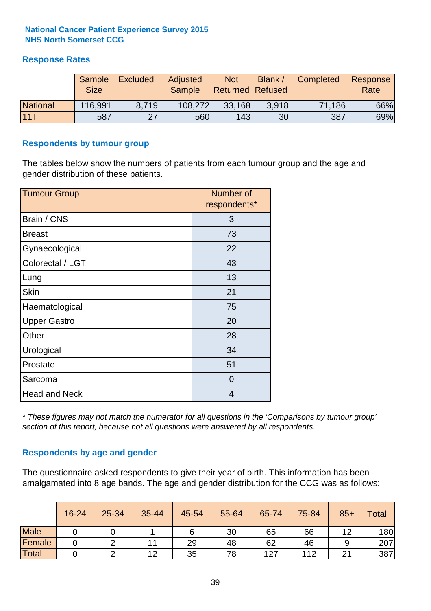#### **Response Rates**

|                 | Sample<br><b>Size</b> | <b>Excluded</b> | Adjusted<br><b>Sample</b> | <b>Not</b><br>Returned Refused | Blank /         | Completed | Response<br>Rate |
|-----------------|-----------------------|-----------------|---------------------------|--------------------------------|-----------------|-----------|------------------|
| <b>National</b> | 116,991               | 8.719           | 108,272                   | 33,168                         | 3.918           | 71,186    | 66%              |
| 111T            | 587                   | 27              | 560                       | 143                            | 30 <sub>l</sub> | 387       | 69%              |

#### **Respondents by tumour group**

The tables below show the numbers of patients from each tumour group and the age and gender distribution of these patients.

| <b>Tumour Group</b>  | Number of<br>respondents* |
|----------------------|---------------------------|
| Brain / CNS          | 3                         |
| <b>Breast</b>        | 73                        |
| Gynaecological       | 22                        |
| Colorectal / LGT     | 43                        |
| Lung                 | 13                        |
| <b>Skin</b>          | 21                        |
| Haematological       | 75                        |
| <b>Upper Gastro</b>  | 20                        |
| Other                | 28                        |
| Urological           | 34                        |
| Prostate             | 51                        |
| Sarcoma              | $\Omega$                  |
| <b>Head and Neck</b> | 4                         |

*\* These figures may not match the numerator for all questions in the 'Comparisons by tumour group' section of this report, because not all questions were answered by all respondents.*

#### **Respondents by age and gender**

The questionnaire asked respondents to give their year of birth. This information has been amalgamated into 8 age bands. The age and gender distribution for the CCG was as follows:

|             | 16-24 | 25-34 | 35-44 | 45-54 | 55-64 | 65-74 | 75-84 | $85+$ | Total |
|-------------|-------|-------|-------|-------|-------|-------|-------|-------|-------|
| <b>Male</b> |       |       |       | 6     | 30    | 65    | 66    | ィつ    | 180   |
| Female      |       |       | 11    | 29    | 48    | 62    | 46    |       | 207   |
| Total       |       |       | 12    | 35    | 78    | 127   | 112   | 21    | 387   |